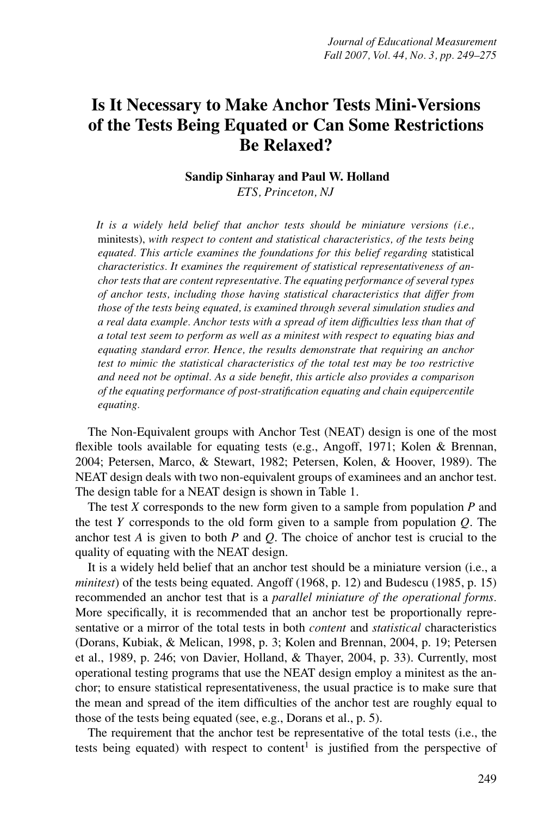# **Is It Necessary to Make Anchor Tests Mini-Versions of the Tests Being Equated or Can Some Restrictions Be Relaxed?**

# **Sandip Sinharay and Paul W. Holland**

*ETS, Princeton, NJ*

*It is a widely held belief that anchor tests should be miniature versions (i.e.,* minitests), *with respect to content and statistical characteristics, of the tests being equated. This article examines the foundations for this belief regarding* statistical *characteristics. It examines the requirement of statistical representativeness of anchor tests that are content representative. The equating performance of several types of anchor tests, including those having statistical characteristics that differ from those of the tests being equated, is examined through several simulation studies and a real data example. Anchor tests with a spread of item difficulties less than that of a total test seem to perform as well as a minitest with respect to equating bias and equating standard error. Hence, the results demonstrate that requiring an anchor test to mimic the statistical characteristics of the total test may be too restrictive and need not be optimal. As a side benefit, this article also provides a comparison of the equating performance of post-stratification equating and chain equipercentile equating.*

The Non-Equivalent groups with Anchor Test (NEAT) design is one of the most flexible tools available for equating tests (e.g., Angoff, 1971; Kolen & Brennan, 2004; Petersen, Marco, & Stewart, 1982; Petersen, Kolen, & Hoover, 1989). The NEAT design deals with two non-equivalent groups of examinees and an anchor test. The design table for a NEAT design is shown in Table 1.

The test *X* corresponds to the new form given to a sample from population *P* and the test *Y* corresponds to the old form given to a sample from population *Q*. The anchor test *A* is given to both *P* and *Q*. The choice of anchor test is crucial to the quality of equating with the NEAT design.

It is a widely held belief that an anchor test should be a miniature version (i.e., a *minitest*) of the tests being equated. Angoff (1968, p. 12) and Budescu (1985, p. 15) recommended an anchor test that is a *parallel miniature of the operational forms.* More specifically, it is recommended that an anchor test be proportionally representative or a mirror of the total tests in both *content* and *statistical* characteristics (Dorans, Kubiak, & Melican, 1998, p. 3; Kolen and Brennan, 2004, p. 19; Petersen et al., 1989, p. 246; von Davier, Holland, & Thayer, 2004, p. 33). Currently, most operational testing programs that use the NEAT design employ a minitest as the anchor; to ensure statistical representativeness, the usual practice is to make sure that the mean and spread of the item difficulties of the anchor test are roughly equal to those of the tests being equated (see, e.g., Dorans et al., p. 5).

The requirement that the anchor test be representative of the total tests (i.e., the tests being equated) with respect to content<sup>1</sup> is justified from the perspective of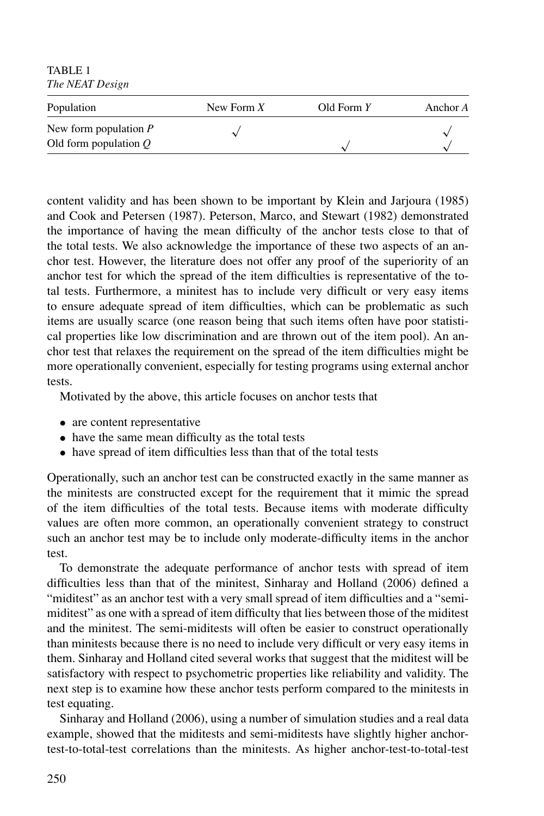TABLE 1 *The NEAT Design*

| Population                                         | New Form $X$ | Old Form $Y$ | Anchor $A$ |
|----------------------------------------------------|--------------|--------------|------------|
| New form population $P$<br>Old form population $Q$ |              |              |            |

content validity and has been shown to be important by Klein and Jarjoura (1985) and Cook and Petersen (1987). Peterson, Marco, and Stewart (1982) demonstrated the importance of having the mean difficulty of the anchor tests close to that of the total tests. We also acknowledge the importance of these two aspects of an anchor test. However, the literature does not offer any proof of the superiority of an anchor test for which the spread of the item difficulties is representative of the total tests. Furthermore, a minitest has to include very difficult or very easy items to ensure adequate spread of item difficulties, which can be problematic as such items are usually scarce (one reason being that such items often have poor statistical properties like low discrimination and are thrown out of the item pool). An anchor test that relaxes the requirement on the spread of the item difficulties might be more operationally convenient, especially for testing programs using external anchor tests.

Motivated by the above, this article focuses on anchor tests that

- are content representative
- have the same mean difficulty as the total tests
- have spread of item difficulties less than that of the total tests

Operationally, such an anchor test can be constructed exactly in the same manner as the minitests are constructed except for the requirement that it mimic the spread of the item difficulties of the total tests. Because items with moderate difficulty values are often more common, an operationally convenient strategy to construct such an anchor test may be to include only moderate-difficulty items in the anchor test.

To demonstrate the adequate performance of anchor tests with spread of item difficulties less than that of the minitest, Sinharay and Holland (2006) defined a "miditest" as an anchor test with a very small spread of item difficulties and a "semimiditest" as one with a spread of item difficulty that lies between those of the miditest and the minitest. The semi-miditests will often be easier to construct operationally than minitests because there is no need to include very difficult or very easy items in them. Sinharay and Holland cited several works that suggest that the miditest will be satisfactory with respect to psychometric properties like reliability and validity. The next step is to examine how these anchor tests perform compared to the minitests in test equating.

Sinharay and Holland (2006), using a number of simulation studies and a real data example, showed that the miditests and semi-miditests have slightly higher anchortest-to-total-test correlations than the minitests. As higher anchor-test-to-total-test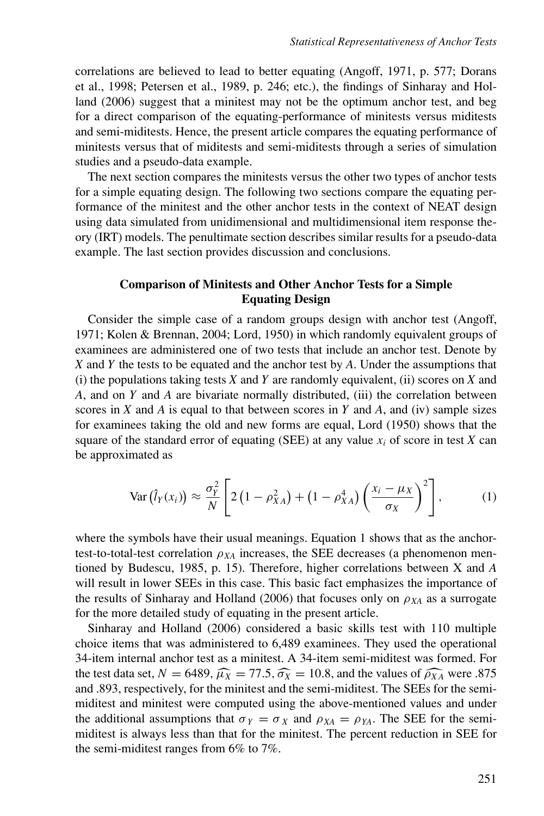correlations are believed to lead to better equating (Angoff, 1971, p. 577; Dorans et al., 1998; Petersen et al., 1989, p. 246; etc.), the findings of Sinharay and Holland (2006) suggest that a minitest may not be the optimum anchor test, and beg for a direct comparison of the equating-performance of minitests versus miditests and semi-miditests. Hence, the present article compares the equating performance of minitests versus that of miditests and semi-miditests through a series of simulation studies and a pseudo-data example.

The next section compares the minitests versus the other two types of anchor tests for a simple equating design. The following two sections compare the equating performance of the minitest and the other anchor tests in the context of NEAT design using data simulated from unidimensional and multidimensional item response theory (IRT) models. The penultimate section describes similar results for a pseudo-data example. The last section provides discussion and conclusions.

# **Comparison of Minitests and Other Anchor Tests for a Simple Equating Design**

Consider the simple case of a random groups design with anchor test (Angoff, 1971; Kolen & Brennan, 2004; Lord, 1950) in which randomly equivalent groups of examinees are administered one of two tests that include an anchor test. Denote by *X* and *Y* the tests to be equated and the anchor test by *A*. Under the assumptions that (i) the populations taking tests *X* and *Y* are randomly equivalent, (ii) scores on *X* and *A*, and on *Y* and *A* are bivariate normally distributed, (iii) the correlation between scores in *X* and *A* is equal to that between scores in *Y* and *A*, and (iv) sample sizes for examinees taking the old and new forms are equal, Lord (1950) shows that the square of the standard error of equating (SEE) at any value  $x_i$  of score in test  $X$  can be approximated as

$$
\text{Var}\left(\hat{l}_Y(x_i)\right) \approx \frac{\sigma_Y^2}{N} \left[2\left(1-\rho_{XA}^2\right) + \left(1-\rho_{XA}^4\right)\left(\frac{x_i-\mu_X}{\sigma_X}\right)^2\right],\tag{1}
$$

where the symbols have their usual meanings. Equation 1 shows that as the anchortest-to-total-test correlation  $\rho_{XA}$  increases, the SEE decreases (a phenomenon mentioned by Budescu, 1985, p. 15). Therefore, higher correlations between X and *A* will result in lower SEEs in this case. This basic fact emphasizes the importance of the results of Sinharay and Holland (2006) that focuses only on  $\rho_{XA}$  as a surrogate for the more detailed study of equating in the present article.

Sinharay and Holland (2006) considered a basic skills test with 110 multiple choice items that was administered to 6,489 examinees. They used the operational 34-item internal anchor test as a minitest. A 34-item semi-miditest was formed. For the test data set,  $N = 6489$ ,  $\widehat{\mu_X} = 77.5$ ,  $\widehat{\sigma_X} = 10.8$ , and the values of  $\widehat{\rho_{XA}}$  were .875 and .893, respectively, for the minitest and the semi-miditest. The SEEs for the semimiditest and minitest were computed using the above-mentioned values and under the additional assumptions that  $\sigma_Y = \sigma_X$  and  $\rho_{XA} = \rho_{YA}$ . The SEE for the semimiditest is always less than that for the minitest. The percent reduction in SEE for the semi-miditest ranges from 6% to 7%.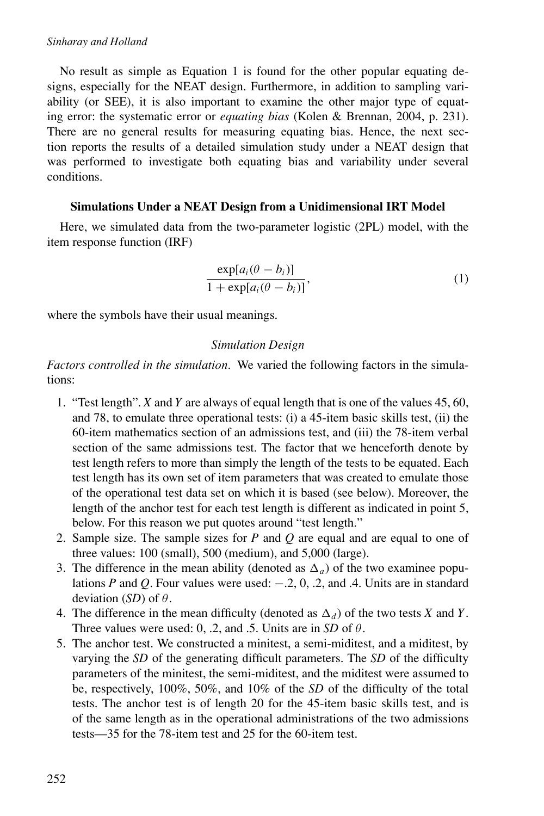#### *Sinharay and Holland*

No result as simple as Equation 1 is found for the other popular equating designs, especially for the NEAT design. Furthermore, in addition to sampling variability (or SEE), it is also important to examine the other major type of equating error: the systematic error or *equating bias* (Kolen & Brennan, 2004, p. 231). There are no general results for measuring equating bias. Hence, the next section reports the results of a detailed simulation study under a NEAT design that was performed to investigate both equating bias and variability under several conditions.

#### **Simulations Under a NEAT Design from a Unidimensional IRT Model**

Here, we simulated data from the two-parameter logistic (2PL) model, with the item response function (IRF)

$$
\frac{\exp[a_i(\theta - b_i)]}{1 + \exp[a_i(\theta - b_i)]},\tag{1}
$$

where the symbols have their usual meanings.

#### *Simulation Design*

*Factors controlled in the simulation*. We varied the following factors in the simulations:

- 1. "Test length". *X* and *Y* are always of equal length that is one of the values 45, 60, and 78, to emulate three operational tests: (i) a 45-item basic skills test, (ii) the 60-item mathematics section of an admissions test, and (iii) the 78-item verbal section of the same admissions test. The factor that we henceforth denote by test length refers to more than simply the length of the tests to be equated. Each test length has its own set of item parameters that was created to emulate those of the operational test data set on which it is based (see below). Moreover, the length of the anchor test for each test length is different as indicated in point 5, below. For this reason we put quotes around "test length."
- 2. Sample size. The sample sizes for *P* and *Q* are equal and are equal to one of three values: 100 (small), 500 (medium), and 5,000 (large).
- 3. The difference in the mean ability (denoted as  $\Delta_a$ ) of the two examinee populations *P* and *Q*. Four values were used: −.2, 0, .2, and .4. Units are in standard deviation  $(SD)$  of  $\theta$ .
- 4. The difference in the mean difficulty (denoted as  $\Delta_d$ ) of the two tests *X* and *Y*. Three values were used: 0, .2, and .5. Units are in *SD* of θ.
- 5. The anchor test. We constructed a minitest, a semi-miditest, and a miditest, by varying the *SD* of the generating difficult parameters. The *SD* of the difficulty parameters of the minitest, the semi-miditest, and the miditest were assumed to be, respectively, 100%, 50%, and 10% of the *SD* of the difficulty of the total tests. The anchor test is of length 20 for the 45-item basic skills test, and is of the same length as in the operational administrations of the two admissions tests—35 for the 78-item test and 25 for the 60-item test.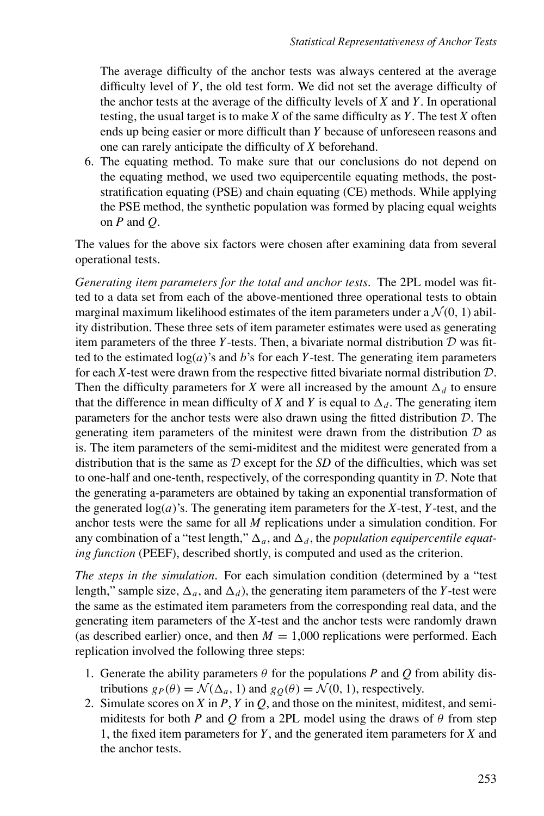The average difficulty of the anchor tests was always centered at the average difficulty level of *Y*, the old test form. We did not set the average difficulty of the anchor tests at the average of the difficulty levels of *X* and *Y*. In operational testing, the usual target is to make *X* of the same difficulty as *Y*. The test *X* often ends up being easier or more difficult than *Y* because of unforeseen reasons and one can rarely anticipate the difficulty of *X* beforehand.

6. The equating method. To make sure that our conclusions do not depend on the equating method, we used two equipercentile equating methods, the poststratification equating (PSE) and chain equating (CE) methods. While applying the PSE method, the synthetic population was formed by placing equal weights on  $P$  and  $Q$ .

The values for the above six factors were chosen after examining data from several operational tests.

*Generating item parameters for the total and anchor tests*. The 2PL model was fitted to a data set from each of the above-mentioned three operational tests to obtain marginal maximum likelihood estimates of the item parameters under a  $\mathcal{N}(0, 1)$  ability distribution. These three sets of item parameter estimates were used as generating item parameters of the three *Y*-tests. Then, a bivariate normal distribution  $D$  was fitted to the estimated  $log(a)$ 's and *b*'s for each *Y*-test. The generating item parameters for each  $X$ -test were drawn from the respective fitted bivariate normal distribution  $D$ . Then the difficulty parameters for *X* were all increased by the amount  $\Delta_d$  to ensure that the difference in mean difficulty of *X* and *Y* is equal to  $\Delta_d$ . The generating item parameters for the anchor tests were also drawn using the fitted distribution  $D$ . The generating item parameters of the minitest were drawn from the distribution  $D$  as is. The item parameters of the semi-miditest and the miditest were generated from a distribution that is the same as  $D$  except for the *SD* of the difficulties, which was set to one-half and one-tenth, respectively, of the corresponding quantity in  $D$ . Note that the generating a-parameters are obtained by taking an exponential transformation of the generated log(*a*)'s. The generating item parameters for the *X*-test, *Y*-test, and the anchor tests were the same for all *M* replications under a simulation condition. For any combination of a "test length,"  $\Delta_a$ , and  $\Delta_d$ , the *population equipercentile equating function* (PEEF), described shortly, is computed and used as the criterion.

*The steps in the simulation*. For each simulation condition (determined by a "test length," sample size,  $\Delta_a$ , and  $\Delta_d$ ), the generating item parameters of the *Y*-test were the same as the estimated item parameters from the corresponding real data, and the generating item parameters of the *X*-test and the anchor tests were randomly drawn (as described earlier) once, and then  $M = 1,000$  replications were performed. Each replication involved the following three steps:

- 1. Generate the ability parameters  $\theta$  for the populations *P* and *Q* from ability distributions  $g_P(\theta) = \mathcal{N}(\Delta_a, 1)$  and  $g_Q(\theta) = \mathcal{N}(0, 1)$ , respectively.
- 2. Simulate scores on *X* in *P*, *Y* in *Q*, and those on the minitest, miditest, and semimiditests for both *P* and *Q* from a 2PL model using the draws of  $\theta$  from step 1, the fixed item parameters for *Y*, and the generated item parameters for *X* and the anchor tests.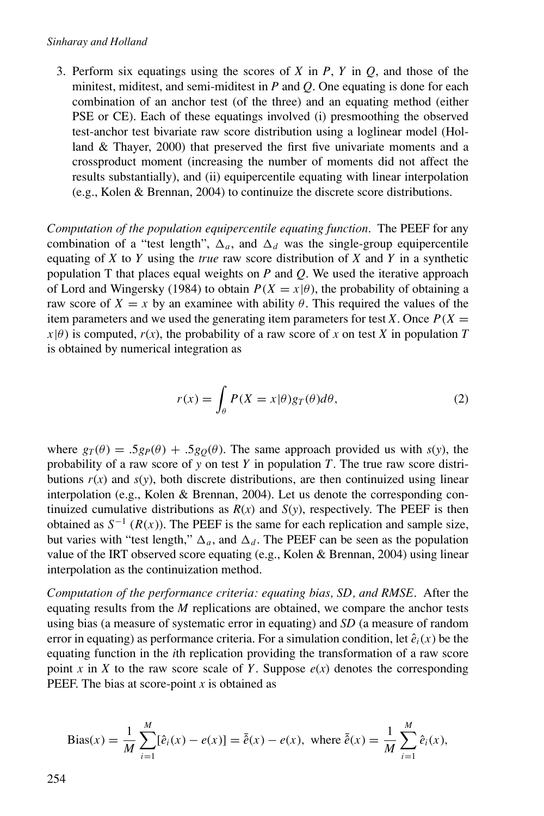#### *Sinharay and Holland*

3. Perform six equatings using the scores of *X* in *P*, *Y* in *Q*, and those of the minitest, miditest, and semi-miditest in *P* and *Q*. One equating is done for each combination of an anchor test (of the three) and an equating method (either PSE or CE). Each of these equatings involved (i) presmoothing the observed test-anchor test bivariate raw score distribution using a loglinear model (Holland & Thayer, 2000) that preserved the first five univariate moments and a crossproduct moment (increasing the number of moments did not affect the results substantially), and (ii) equipercentile equating with linear interpolation (e.g., Kolen & Brennan, 2004) to continuize the discrete score distributions.

*Computation of the population equipercentile equating function*. The PEEF for any combination of a "test length",  $\Delta_a$ , and  $\Delta_d$  was the single-group equipercentile equating of *X* to *Y* using the *true* raw score distribution of *X* and *Y* in a synthetic population T that places equal weights on *P* and *Q*. We used the iterative approach of Lord and Wingersky (1984) to obtain  $P(X = x | \theta)$ , the probability of obtaining a raw score of  $X = x$  by an examinee with ability  $\theta$ . This required the values of the item parameters and we used the generating item parameters for test *X*. Once  $P(X =$  $x | \theta$ ) is computed,  $r(x)$ , the probability of a raw score of *x* on test *X* in population *T* is obtained by numerical integration as

$$
r(x) = \int_{\theta} P(X = x | \theta) g_T(\theta) d\theta,
$$
 (2)

where  $g_T(\theta) = .5g_P(\theta) + .5g_O(\theta)$ . The same approach provided us with  $s(y)$ , the probability of a raw score of *y* on test *Y* in population *T*. The true raw score distributions  $r(x)$  and  $s(y)$ , both discrete distributions, are then continuized using linear interpolation (e.g., Kolen & Brennan, 2004). Let us denote the corresponding continuized cumulative distributions as  $R(x)$  and  $S(y)$ , respectively. The PEEF is then obtained as  $S^{-1}(R(x))$ . The PEEF is the same for each replication and sample size, but varies with "test length,"  $\Delta_a$ , and  $\Delta_d$ . The PEEF can be seen as the population value of the IRT observed score equating (e.g., Kolen & Brennan, 2004) using linear interpolation as the continuization method.

*Computation of the performance criteria: equating bias, SD, and RMSE*. After the equating results from the *M* replications are obtained, we compare the anchor tests using bias (a measure of systematic error in equating) and *SD* (a measure of random error in equating) as performance criteria. For a simulation condition, let  $\hat{e}_i(x)$  be the equating function in the *i*th replication providing the transformation of a raw score point *x* in *X* to the raw score scale of *Y*. Suppose  $e(x)$  denotes the corresponding PEEF. The bias at score-point *x* is obtained as

Bias(x) = 
$$
\frac{1}{M} \sum_{i=1}^{M} [\hat{e}_i(x) - e(x)] = \overline{\hat{e}}(x) - e(x)
$$
, where  $\overline{\hat{e}}(x) = \frac{1}{M} \sum_{i=1}^{M} \hat{e}_i(x)$ ,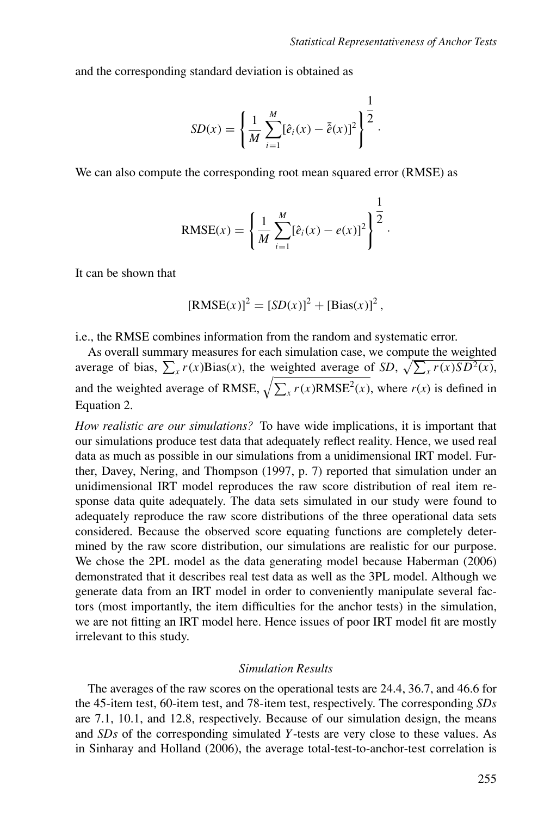and the corresponding standard deviation is obtained as

$$
SD(x) = \left\{ \frac{1}{M} \sum_{i=1}^{M} [\hat{e}_i(x) - \bar{\hat{e}}(x)]^2 \right\}^{\frac{1}{2}}.
$$

We can also compute the corresponding root mean squared error (RMSE) as

RMSE(x) = 
$$
\left\{ \frac{1}{M} \sum_{i=1}^{M} [\hat{e}_i(x) - e(x)]^2 \right\}^{\frac{1}{2}}.
$$

It can be shown that

$$
[RMSE(x)]^2 = [SD(x)]^2 + [Bias(x)]^2,
$$

i.e., the RMSE combines information from the random and systematic error.

As overall summary measures for each simulation case, we compute the weighted average of bias,  $\sum_{x} r(x) \text{Bias}(x)$ , the weighted average of *SD*,  $\sqrt{\sum_{x} r(x) \text{SD}^2(x)}$ , and the weighted average of RMSE,  $\sqrt{\sum_{x} r(x) \text{RMSE}^2(x)}$ , where  $r(x)$  is defined in Equation 2.

*How realistic are our simulations?* To have wide implications, it is important that our simulations produce test data that adequately reflect reality. Hence, we used real data as much as possible in our simulations from a unidimensional IRT model. Further, Davey, Nering, and Thompson (1997, p. 7) reported that simulation under an unidimensional IRT model reproduces the raw score distribution of real item response data quite adequately. The data sets simulated in our study were found to adequately reproduce the raw score distributions of the three operational data sets considered. Because the observed score equating functions are completely determined by the raw score distribution, our simulations are realistic for our purpose. We chose the 2PL model as the data generating model because Haberman (2006) demonstrated that it describes real test data as well as the 3PL model. Although we generate data from an IRT model in order to conveniently manipulate several factors (most importantly, the item difficulties for the anchor tests) in the simulation, we are not fitting an IRT model here. Hence issues of poor IRT model fit are mostly irrelevant to this study.

#### *Simulation Results*

The averages of the raw scores on the operational tests are 24.4, 36.7, and 46.6 for the 45-item test, 60-item test, and 78-item test, respectively. The corresponding *SDs* are 7.1, 10.1, and 12.8, respectively. Because of our simulation design, the means and *SDs* of the corresponding simulated *Y*-tests are very close to these values. As in Sinharay and Holland (2006), the average total-test-to-anchor-test correlation is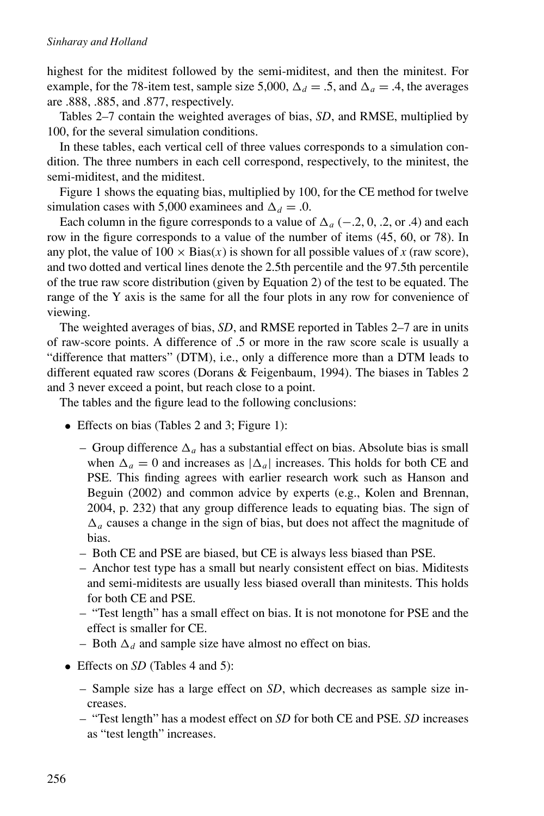#### *Sinharay and Holland*

highest for the miditest followed by the semi-miditest, and then the minitest. For example, for the 78-item test, sample size 5,000,  $\Delta_d = .5$ , and  $\Delta_a = .4$ , the averages are .888, .885, and .877, respectively.

Tables 2–7 contain the weighted averages of bias, *SD*, and RMSE, multiplied by 100, for the several simulation conditions.

In these tables, each vertical cell of three values corresponds to a simulation condition. The three numbers in each cell correspond, respectively, to the minitest, the semi-miditest, and the miditest.

Figure 1 shows the equating bias, multiplied by 100, for the CE method for twelve simulation cases with 5,000 examinees and  $\Delta_d = .0$ .

Each column in the figure corresponds to a value of  $\Delta_a$  (−.2, 0, .2, or .4) and each row in the figure corresponds to a value of the number of items (45, 60, or 78). In any plot, the value of  $100 \times Bias(x)$  is shown for all possible values of *x* (raw score), and two dotted and vertical lines denote the 2.5th percentile and the 97.5th percentile of the true raw score distribution (given by Equation 2) of the test to be equated. The range of the Y axis is the same for all the four plots in any row for convenience of viewing.

The weighted averages of bias, *SD*, and RMSE reported in Tables 2–7 are in units of raw-score points. A difference of .5 or more in the raw score scale is usually a "difference that matters" (DTM), i.e., only a difference more than a DTM leads to different equated raw scores (Dorans & Feigenbaum, 1994). The biases in Tables 2 and 3 never exceed a point, but reach close to a point.

The tables and the figure lead to the following conclusions:

- Effects on bias (Tables 2 and 3; Figure 1):
	- Group difference  $\Delta_a$  has a substantial effect on bias. Absolute bias is small when  $\Delta_a = 0$  and increases as  $|\Delta_a|$  increases. This holds for both CE and PSE. This finding agrees with earlier research work such as Hanson and Beguin (2002) and common advice by experts (e.g., Kolen and Brennan, 2004, p. 232) that any group difference leads to equating bias. The sign of  $\Delta_a$  causes a change in the sign of bias, but does not affect the magnitude of bias.
	- Both CE and PSE are biased, but CE is always less biased than PSE.
	- Anchor test type has a small but nearly consistent effect on bias. Miditests and semi-miditests are usually less biased overall than minitests. This holds for both CE and PSE.
	- "Test length" has a small effect on bias. It is not monotone for PSE and the effect is smaller for CE.
	- Both  $\Delta_d$  and sample size have almost no effect on bias.
- Effects on *SD* (Tables 4 and 5):
	- Sample size has a large effect on *SD*, which decreases as sample size increases.
	- "Test length" has a modest effect on *SD* for both CE and PSE. *SD* increases as "test length" increases.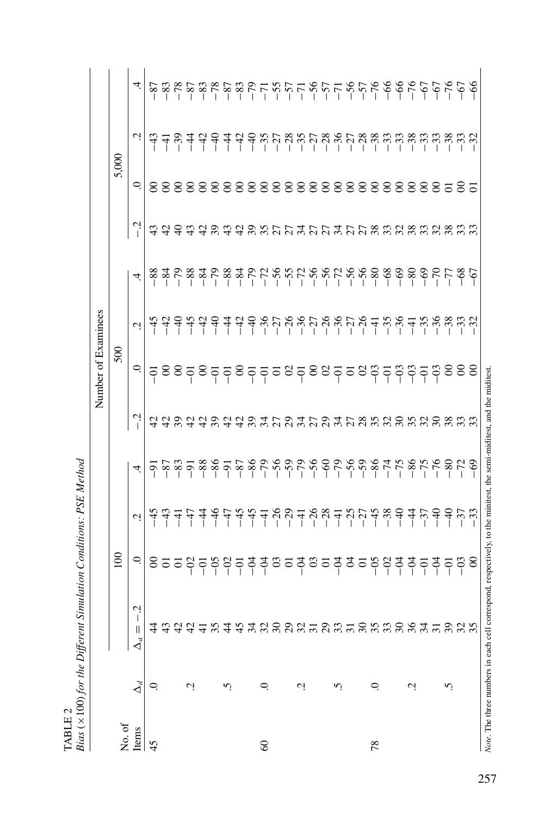| Ċ,<br>$\overline{\phantom{a}}$<br>$\begin{array}{c} \hline \end{array}$<br>$\Delta_a$<br>$\Delta_d$<br>Q<br>Ņ<br>r.<br>Q<br>ų<br>Q<br>Νj<br>No. of<br>Items<br>45<br>$\otimes$<br>78 | $\overline{100}$<br>Q | $\overline{a}$ | 4 | L,                                       | Number of Examinees<br>500  |                                  |   |                      | 5,000                     |   |    |
|--------------------------------------------------------------------------------------------------------------------------------------------------------------------------------------|-----------------------|----------------|---|------------------------------------------|-----------------------------|----------------------------------|---|----------------------|---------------------------|---|----|
|                                                                                                                                                                                      |                       |                |   |                                          |                             |                                  |   |                      |                           |   |    |
|                                                                                                                                                                                      |                       |                |   |                                          |                             |                                  |   |                      |                           |   |    |
|                                                                                                                                                                                      |                       |                |   |                                          | $\circ$                     | $\omega$                         | 4 | L,<br>$\overline{1}$ | Q                         | Ċ | 4. |
|                                                                                                                                                                                      |                       |                |   |                                          |                             |                                  |   |                      |                           |   |    |
|                                                                                                                                                                                      |                       |                |   | 222                                      |                             |                                  |   | 유 유 유 유              |                           |   |    |
|                                                                                                                                                                                      |                       |                |   |                                          |                             |                                  |   |                      |                           |   |    |
|                                                                                                                                                                                      |                       |                |   |                                          | 588585585585885588558955888 | .<br>888888888888888888888888888 |   |                      | 8888888888888888888888858 |   |    |
|                                                                                                                                                                                      |                       |                |   | ದ ದ ಜ                                    |                             |                                  |   | 72.9                 |                           |   |    |
|                                                                                                                                                                                      |                       |                |   |                                          |                             |                                  |   |                      |                           |   |    |
|                                                                                                                                                                                      |                       |                |   |                                          |                             |                                  |   | $\frac{4}{3}$        |                           |   |    |
|                                                                                                                                                                                      |                       |                |   |                                          |                             |                                  |   |                      |                           |   |    |
|                                                                                                                                                                                      |                       |                |   |                                          |                             |                                  |   |                      |                           |   |    |
|                                                                                                                                                                                      |                       |                |   | ž                                        |                             |                                  |   |                      |                           |   |    |
|                                                                                                                                                                                      |                       |                |   |                                          |                             |                                  |   |                      |                           |   |    |
|                                                                                                                                                                                      |                       |                |   |                                          |                             |                                  |   |                      |                           |   |    |
|                                                                                                                                                                                      |                       |                |   |                                          |                             |                                  |   |                      |                           |   |    |
|                                                                                                                                                                                      |                       |                |   |                                          |                             |                                  |   |                      |                           |   |    |
|                                                                                                                                                                                      |                       |                |   |                                          |                             |                                  |   |                      |                           |   |    |
|                                                                                                                                                                                      |                       |                |   |                                          |                             |                                  |   |                      |                           |   |    |
|                                                                                                                                                                                      |                       |                |   | <b>ភ្លេងភ្លេងភ្នាន់</b> នាងទីនាន់ និងមាន |                             |                                  |   | ENANGO CONGERENCE    |                           |   |    |
|                                                                                                                                                                                      |                       |                |   |                                          |                             |                                  |   |                      |                           |   |    |
|                                                                                                                                                                                      |                       |                |   |                                          |                             |                                  |   |                      |                           |   |    |
|                                                                                                                                                                                      |                       |                |   |                                          |                             |                                  |   |                      |                           |   |    |
|                                                                                                                                                                                      |                       |                |   |                                          |                             |                                  |   |                      |                           |   |    |
| L,                                                                                                                                                                                   |                       |                |   |                                          |                             |                                  |   |                      |                           |   |    |
|                                                                                                                                                                                      |                       |                |   |                                          |                             |                                  |   |                      |                           |   |    |
|                                                                                                                                                                                      |                       |                |   |                                          |                             |                                  |   |                      |                           |   |    |
| Νj                                                                                                                                                                                   |                       |                |   |                                          |                             |                                  |   |                      |                           |   |    |
|                                                                                                                                                                                      |                       |                |   |                                          |                             |                                  |   |                      |                           |   |    |
|                                                                                                                                                                                      |                       |                |   |                                          |                             |                                  |   |                      |                           |   |    |

Note. The three numbers in each cell correspond, respectively, to the minitest, the semi-miditest, and the miditest. *Note*. The three numbers in each cell correspond, respectively, to the minitest, the semi-miditest, and the miditest.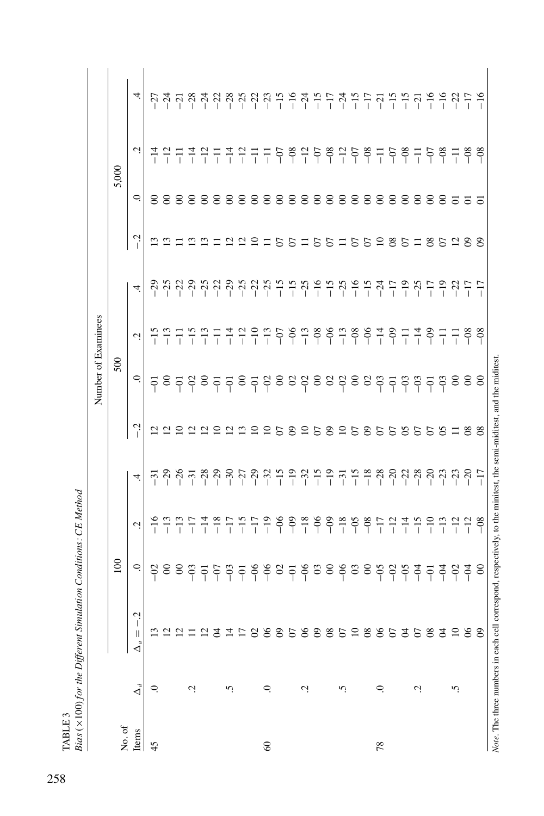|                |            |                                                                                                                      |                |               |                |                          | Number of Examinees                                                                                                                                                                                                                                                                                                 |                                           |                |                |                |                        |                                 |
|----------------|------------|----------------------------------------------------------------------------------------------------------------------|----------------|---------------|----------------|--------------------------|---------------------------------------------------------------------------------------------------------------------------------------------------------------------------------------------------------------------------------------------------------------------------------------------------------------------|-------------------------------------------|----------------|----------------|----------------|------------------------|---------------------------------|
| No. of         |            |                                                                                                                      | 100            |               |                |                          | 500                                                                                                                                                                                                                                                                                                                 |                                           |                |                | 5,000          |                        |                                 |
| Items          | $\Delta_d$ | $-2$<br>$\Delta_a =$                                                                                                 | Q              | L,            | 4.             | $-2$                     | Q                                                                                                                                                                                                                                                                                                                   | L,                                        | 4              | $-2$           | Q              | L,                     | 4.                              |
| 45             | Q          | 13                                                                                                                   |                | $-16$         | $-31$          | $\overline{c}$           | $\overline{5}$                                                                                                                                                                                                                                                                                                      | $-15$                                     | $-29$          | ≌              | g              | $-14$                  |                                 |
|                |            | $\overline{12}$                                                                                                      |                | $-13$         | $-29$          | $\overline{\mathcal{C}}$ | $\infty$                                                                                                                                                                                                                                                                                                            | $-13$                                     | $-25$          | ≌              | Ξ              | $-12$                  | $-27$                           |
|                |            | 12                                                                                                                   | 8889           | $-13$         | 26             | ≘                        |                                                                                                                                                                                                                                                                                                                     |                                           | $-22$          |                | $\approx$      |                        |                                 |
|                | L,         | $\equiv$                                                                                                             |                | $-17$         | $\overline{5}$ | $\bar{\omega}$           |                                                                                                                                                                                                                                                                                                                     |                                           | $-29$          | ن              | 8              |                        | $-23$                           |
|                |            | $\overline{c}$                                                                                                       | $\overline{9}$ | $\frac{4}{1}$ | $-28$          | $\overline{\omega}$      | $\frac{1}{9}$ $\frac{1}{9}$ $\frac{1}{8}$ $\frac{1}{9}$ $\frac{1}{8}$ $\frac{1}{9}$ $\frac{1}{8}$ $\frac{1}{8}$ $\frac{1}{8}$ $\frac{1}{8}$ $\frac{1}{8}$ $\frac{1}{8}$ $\frac{1}{8}$ $\frac{1}{8}$ $\frac{1}{8}$ $\frac{1}{8}$ $\frac{1}{8}$ $\frac{1}{8}$ $\frac{1}{8}$ $\frac{1}{8}$ $\frac{1}{8}$ $\frac{1}{8}$ | 777777777777                              | $-25$          | ن              | 8              | 7727                   | $-24$                           |
|                |            | $\beta$                                                                                                              | $-97$          | $-18$         | $-29$          | ≘                        |                                                                                                                                                                                                                                                                                                                     |                                           | $-22$          |                | 8              |                        | $-22$                           |
|                | r.         | $\overline{1}$                                                                                                       | $-03$          | $-17$         | $-30$          | ų                        |                                                                                                                                                                                                                                                                                                                     |                                           | $-29$          |                | 8              | $-12$<br>$-12$<br>$-1$ | $-28$                           |
|                |            | 17                                                                                                                   | $\overline{Q}$ | $-15$         | $-27$          | ن                        |                                                                                                                                                                                                                                                                                                                     |                                           | $-25$          | ų              | 8              |                        | $-25$                           |
|                |            | $\mbox{O}2$                                                                                                          |                | $-17$         | $-29$          |                          |                                                                                                                                                                                                                                                                                                                     |                                           | $-22$          |                | 8              |                        | $-22$                           |
| $\circledcirc$ | Q          | $\delta$                                                                                                             |                | $-19$         | $-32$          | ≘                        |                                                                                                                                                                                                                                                                                                                     |                                           | $-25$          |                | 8              | $\overline{7}$         | $-23$                           |
|                |            | $\mathbf{e}$                                                                                                         |                | $-66$         | $-15$          | 5                        |                                                                                                                                                                                                                                                                                                                     | $-07$                                     | $-15$          | 5              | 8              | $-67$                  | $-15$                           |
|                |            | $\Omega$                                                                                                             |                | $-09$         | $-19$          | $\mathbf{S}$             |                                                                                                                                                                                                                                                                                                                     |                                           |                | 5              | $\infty$       |                        |                                 |
|                | L,         | 66                                                                                                                   | 8887           | $-18$         | $-32$          | $\overline{10}$          |                                                                                                                                                                                                                                                                                                                     | $-13$                                     | $-15$<br>$-25$ | $\Box$         | $\infty$       | $-8$<br>$-12$<br>$-67$ | $-16$<br>$-24$                  |
|                |            | $\infty$                                                                                                             | $_{03}$        | $-66$         | $-15$          | 5                        |                                                                                                                                                                                                                                                                                                                     | $-08$                                     | $-16$          | 5              | 8              |                        | $-15$                           |
|                |            | $08\,$                                                                                                               |                | $-09$         | $-19$          | $\infty$                 |                                                                                                                                                                                                                                                                                                                     | $-06$                                     | $-15$          | 5              | 8              |                        | $-17$                           |
|                | r.         | $\sigma$                                                                                                             | 8888           | $-18$         | $-31$          | ≘                        |                                                                                                                                                                                                                                                                                                                     | $-13$                                     | $-25$          | Ξ              | 8              | $-8$<br>$-12$<br>$-07$ | $-24$<br>$-15$<br>$-17$         |
|                |            | $\overline{10}$                                                                                                      |                | $-05$         | $-15$          | 5                        |                                                                                                                                                                                                                                                                                                                     | $-08$                                     |                | Σ              | 8              |                        |                                 |
|                |            | $_{08}$                                                                                                              |                | $-08$         | $-18$          | $\mathbf{S}$             |                                                                                                                                                                                                                                                                                                                     | $-06$                                     | $-15$          | 5              | 8              | $-08$                  |                                 |
| 78             | Q          | $\delta$                                                                                                             | $-05$          | $-17$         | $-28$          | $\overline{C}$           | $-03$                                                                                                                                                                                                                                                                                                               |                                           | $-24$          | ≘              | $\infty$       | $\overline{7}$         |                                 |
|                |            | $\Omega$                                                                                                             | $-02$          | $-12$         | $-20$          | $\overline{5}$           | $\overline{P}$                                                                                                                                                                                                                                                                                                      | $\frac{4}{1}$ $\frac{8}{1}$ $\frac{7}{1}$ | $-17$          | $\infty$       | 8              | $-67$                  | $-21$<br>$-15$<br>$-15$<br>$-1$ |
|                |            | $\beta$                                                                                                              | $-65$          | $-14$         | $-22$          | S                        | $-03$                                                                                                                                                                                                                                                                                                               |                                           | $-19$          | S              | 8              |                        |                                 |
|                | L,         | $\Omega$                                                                                                             | $\frac{4}{3}$  | $-15$         | $-28$          | 5                        | $-03$                                                                                                                                                                                                                                                                                                               | $-14$                                     | $-25$          | $\equiv$       | 8              | $\overline{1}$         |                                 |
|                |            | $_{08}$                                                                                                              | $\overline{Q}$ | $\frac{1}{1}$ | $-20$          | 5                        | $\overline{Q}$                                                                                                                                                                                                                                                                                                      | $\frac{1}{2}$                             | $-17$          | $\infty$       | $\infty$       | $-\sigma$              | $-16$                           |
|                |            | $\beta$                                                                                                              | $-64$          | $-13$         | $-23$          | S                        | $-03$                                                                                                                                                                                                                                                                                                               | 두두                                        | $-19$          | $\sigma$       | 8              | $-8$ $-1$              |                                 |
|                | r.         | $10$                                                                                                                 | $-62$          | $-12$         | $-23$          | $\Xi$                    | $\rm ^{\rm o}$                                                                                                                                                                                                                                                                                                      |                                           | $-22$          | $\overline{c}$ | $\overline{5}$ |                        | $-22$                           |
|                |            | $\delta$                                                                                                             | $\beta$        | $-12$         | $-20$          | $\infty$                 | $\rm ^{\rm o}$                                                                                                                                                                                                                                                                                                      | $-08$                                     | $-17$          | $\mathbf{S}$   | 5              | $-08$                  | $-17$                           |
|                |            | $\mathbf{0}$                                                                                                         | $\infty$       | $-88$         | $-17$          | 8 <sup>o</sup>           | $\infty$                                                                                                                                                                                                                                                                                                            | $-08$                                     | $-17$          | $\mathbf{S}$   | 5              | $-08$                  | $-16$                           |
|                |            | Note. The three numbers in each cell correspond, respectively, to the minitest, the semi-miditest, and the miditest. |                |               |                |                          |                                                                                                                                                                                                                                                                                                                     |                                           |                |                |                |                        |                                 |

TABLE 3<br>Bias (×100) for the Different Simulation Conditions: CE Method *Bias* (×100) *for the Different Simulation Conditions: CE Method* TABLE 3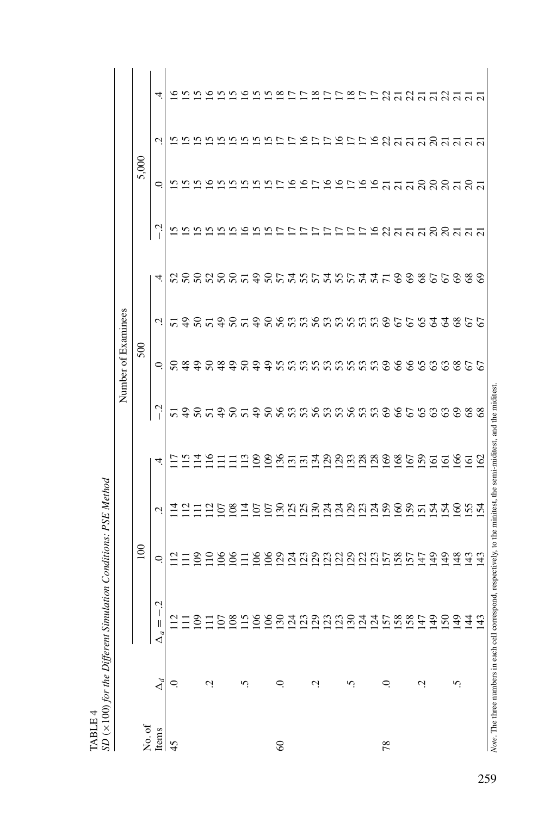|                   |            |                                                                                                                     |                 |                          |                     |                                       | Number of Examinees |                |               |                     |                  |                          |                    |
|-------------------|------------|---------------------------------------------------------------------------------------------------------------------|-----------------|--------------------------|---------------------|---------------------------------------|---------------------|----------------|---------------|---------------------|------------------|--------------------------|--------------------|
|                   |            |                                                                                                                     | 100             |                          |                     |                                       | 500                 |                |               |                     | 5,000            |                          |                    |
| No. of<br>Items   | $\Delta_d$ | Ń<br>$\overline{1}$<br>$\parallel$<br>$\Delta_a$                                                                    | Q               | L,                       | 4                   | $-2$                                  | Q                   | L,             | 4             | $-2$                | Q                | Ŋ                        | 4                  |
| 45                | ٥          |                                                                                                                     | $\Xi$           |                          |                     |                                       |                     |                |               | v                   |                  | n                        | ∘                  |
|                   |            |                                                                                                                     | Ξ               |                          |                     |                                       |                     |                |               |                     | n n              | 5                        |                    |
|                   |            |                                                                                                                     |                 |                          | $\vec{a}$           |                                       |                     |                |               | n v                 | $\sim$           | n                        |                    |
|                   | L,         |                                                                                                                     |                 | $\overline{5}$           | $\frac{6}{1}$       |                                       |                     |                |               |                     | ৩                | n                        | ∘                  |
|                   |            |                                                                                                                     |                 | S                        | Ξ                   |                                       |                     |                |               |                     | $\sim$           | N                        |                    |
|                   |            | $\begin{smallmatrix} \texttt{1131581884} \texttt{8948833} \texttt{89478} \texttt{887} \end{smallmatrix}$            |                 | $\infty$                 | 득                   | 53653653                              | 8498498             | 53653653666666 | 88888859      |                     | n                | n                        |                    |
|                   | ιÒ.        |                                                                                                                     |                 | $\vec{a}$                | $\ddot{5}$          |                                       |                     |                |               |                     |                  |                          |                    |
|                   |            |                                                                                                                     |                 | ЭŌ                       | $\tilde{e}$         |                                       | $\frac{9}{4}$       |                |               |                     |                  |                          |                    |
|                   |            |                                                                                                                     |                 | $\Omega$                 | $\mathbf{S}$        |                                       | $\frac{9}{4}$       |                |               |                     |                  | ŋ                        |                    |
| $\boldsymbol{60}$ | Q          |                                                                                                                     |                 | $\frac{6}{2}$            | $\frac{36}{5}$      |                                       |                     |                |               |                     |                  |                          | $\infty$           |
|                   |            |                                                                                                                     |                 | 25                       | $\overline{\omega}$ |                                       |                     |                |               |                     | ⊻                |                          |                    |
|                   |            |                                                                                                                     |                 | 25                       | $\overline{5}$      | E E E E E E E E E E E E E E E E E E E | <u>ລິສລິສ</u>       |                | SSTESSESSERSS |                     |                  | 9 J                      |                    |
|                   | Ċ.         |                                                                                                                     |                 | $\overline{\mathcal{E}}$ | $\mathcal{L}$       |                                       |                     |                |               | ŗ                   | 92               |                          | $\frac{\infty}{2}$ |
|                   |            |                                                                                                                     |                 | $\overline{c}$           | $\overline{c}$      |                                       |                     |                |               |                     | $\overline{16}$  | L.                       |                    |
|                   |            |                                                                                                                     |                 | $\mathcal{Z}$            | $\overline{5}$      |                                       | 53                  |                |               | L.                  | 16               | ≌                        | Ξ                  |
|                   | Ċ          |                                                                                                                     |                 | $\mathcal{S}^2$          |                     |                                       |                     |                |               | Ξ                   |                  | $\overline{\phantom{0}}$ | $\approx$          |
|                   |            |                                                                                                                     |                 | $\mathfrak{L}$           | 388                 |                                       | 555888              | 5555           |               | Ξ                   | $\overline{16}$  | $\overline{\phantom{0}}$ | $\overline{C}$     |
|                   |            |                                                                                                                     |                 | $\mathcal{Z}$            |                     |                                       |                     |                |               | $\tilde{=}$         | $\overline{16}$  | $\tilde{=}$              | Ξ                  |
| 78                | Q          |                                                                                                                     |                 | 59                       | $rac{60}{60}$       |                                       |                     |                |               |                     |                  | <b>ដ</b> ដដ              |                    |
|                   |            |                                                                                                                     |                 | 3                        |                     |                                       |                     |                |               |                     |                  |                          |                    |
|                   |            |                                                                                                                     |                 | 59                       |                     |                                       |                     |                |               |                     |                  |                          |                    |
|                   | L,         |                                                                                                                     | $\overline{47}$ | 5                        | 59                  |                                       |                     |                |               |                     |                  |                          |                    |
|                   |            | $\frac{9}{4}$                                                                                                       | $\overline{4}$  | 24                       | $\tilde{\circ}$     |                                       | 5888                |                | 8553          |                     |                  | និគី                     | <b>ដួដ</b> ដូដដូ   |
|                   |            | 59                                                                                                                  | $\frac{4}{9}$   | 54                       | $\tilde{\circ}$     |                                       |                     |                |               |                     |                  |                          |                    |
|                   | r.         |                                                                                                                     | $\frac{48}{5}$  | $\infty$                 | $\mathcal{S}$       |                                       |                     | 3855335        |               |                     |                  |                          |                    |
|                   |            | $\ddot{4}$                                                                                                          | 43              | IS4                      | $\tilde{\circ}$     | 68                                    | 67                  |                | 68            | <b>ដដ</b> ្ឋាននិងដដ | <b>ភភភ</b> នននភា | $\overline{a}$           | គគ                 |
|                   |            | 43                                                                                                                  | $\Xi$           |                          | 162                 | 68                                    | 67                  | 67             | $\mathcal{S}$ |                     |                  |                          |                    |
|                   |            | Note. The three numbers in each cell correspond, respectively, to the minitest, the semi-miditest, and the miditest |                 |                          |                     |                                       |                     |                |               |                     |                  |                          |                    |

TABLE 4<br>SD (×100) for the Different Simulation Conditions: PSE Method *SD* (×100) *for the Different Simulation Conditions: PSE Method* TABLE 4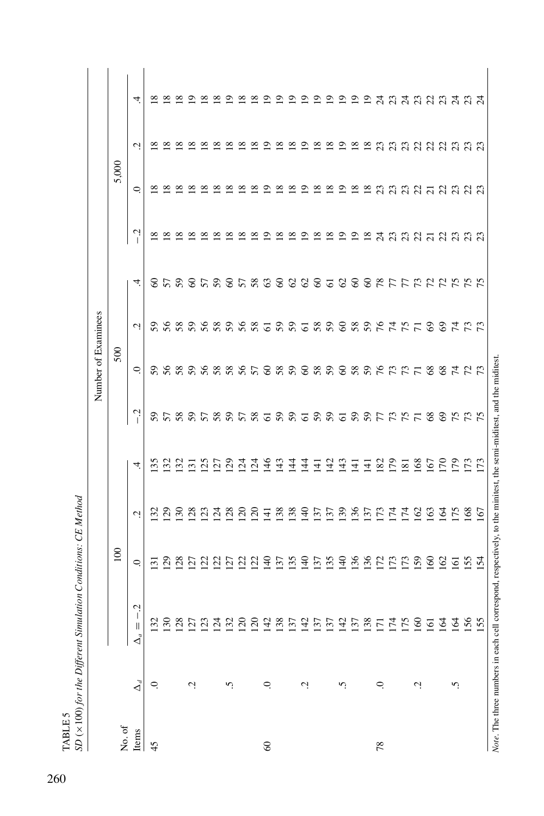|           |                                                                                |                                                                                                                      |                 |                         |                             |                                | Number of Examinees |                |               |                                |                |            |                |
|-----------|--------------------------------------------------------------------------------|----------------------------------------------------------------------------------------------------------------------|-----------------|-------------------------|-----------------------------|--------------------------------|---------------------|----------------|---------------|--------------------------------|----------------|------------|----------------|
| No. of    |                                                                                |                                                                                                                      | 100             |                         |                             |                                | 500                 |                |               |                                | 5,000          |            |                |
| Items     | $\Delta_d$                                                                     | ų<br>$\begin{array}{c} \hline \end{array}$<br>$\parallel$<br>$\Delta_q$                                              | Q               | ų                       | 4                           | L,<br>$\overline{\phantom{a}}$ | Q                   | ų              | 4             | L,<br>$\overline{\phantom{a}}$ | Q              | L,         | 4              |
| 45        | Q                                                                              |                                                                                                                      | $\overline{51}$ | $\omega$                | 35                          | 59                             | ನಿ                  | 59             | 8             | $^{\circ}$                     | ∞              | $\propto$  | $^{\circ}$     |
|           |                                                                                |                                                                                                                      | 29              | $\mathcal{S}^2$         | $\mathfrak{L}$              | 57                             | 56                  | 56             | 57            | $^{\circ}$                     | ∞              | ∝          | ∞              |
|           |                                                                                |                                                                                                                      | 28              | $\mathcal{S}$           | 32                          | 58                             | 58                  | 58             | 59            | $\infty$                       | ∞              | ∝          | ∝              |
|           | L,                                                                             |                                                                                                                      | $\overline{27}$ | 28                      | $\overline{5}$              | 59                             |                     | 59             | $\delta$      | $^{\circ}$                     | ∞              | ∝          | σ              |
|           |                                                                                |                                                                                                                      | $\frac{22}{22}$ | $\mathfrak{L}$          | 25                          | 57                             | <b>వి</b> ద         | 56             | 57            | ∞                              | ∞              |            |                |
|           |                                                                                |                                                                                                                      |                 | $\overline{24}$         | 27                          | $\frac{8}{3}$                  | 58                  | 58             | 59            | ∝                              | ∞              |            |                |
|           | N.                                                                             | 32                                                                                                                   | $\overline{27}$ | 28                      | 29                          | 59                             | 58                  | 59             | $\infty$      | ∞                              | ∞              |            |                |
|           |                                                                                | $\infty$                                                                                                             | 122             | $\overline{5}$          | $\overline{c}$              | 57                             | 56                  | 56             | 57            | ∝                              | ∝              |            |                |
|           |                                                                                | $\infty$                                                                                                             | 22              | $\mathcal{S}$           | 24                          | 58                             | 57                  | 58             | 58            |                                |                |            |                |
| $\degree$ | $\mathbin{\mathop{\rule{0pt}{0pt}}\nolimits\mathop{\rule{0pt}{0pt}}\nolimits}$ | $\overline{42}$                                                                                                      | $\frac{40}{5}$  | 크                       | $\frac{46}{5}$              | 5                              | 8                   | 5              | 63            |                                |                |            |                |
|           |                                                                                | 38                                                                                                                   | $\overline{37}$ | 38                      | 43                          | 59                             | 58                  | 59             | $\infty$      | ∞                              | $\infty$       |            |                |
|           |                                                                                | 37                                                                                                                   | 135             | 38                      | $\frac{4}{4}$               | 59                             | 59                  | 59             | $\mathcal{S}$ | ∝                              | $^{\infty}$    | ∝          |                |
|           | L,                                                                             | $\overline{42}$                                                                                                      | $\overline{40}$ | ¥                       | 4                           | $\overline{6}$                 | $\pmb{\mathcal{S}}$ | $\overline{6}$ | 62            | σ                              | Φ              | o          |                |
|           |                                                                                | 57                                                                                                                   | $\overline{37}$ | $\omega$                | 4                           | 59                             | 58                  | 58             | 8             | $^{\circ}$                     | ∞              | ∝          |                |
|           |                                                                                | 37                                                                                                                   | 135             | $\mathcal{E}$           | $\frac{42}{5}$              | 59                             | 59                  | 59             | 5             | $\infty$                       | ∞              | $^{\circ}$ | Φ              |
|           | N.                                                                             | $\overline{42}$                                                                                                      | $\frac{140}{5}$ | $\mathcal{S}^{\bullet}$ | 43                          | $\overline{6}$                 | 8                   | $\mathcal{S}$  | $\mathcal{S}$ | Φ                              | ഉ              | Φ          | ∘              |
|           |                                                                                | 57                                                                                                                   | 136             | $\frac{36}{5}$          | £                           | 59                             | 58                  | 58             | 8             | σ                              | ≌              | $\infty$   | ∘              |
|           |                                                                                | 138                                                                                                                  | 136             | $\omega$                | £                           | 59                             | 59                  | 59             | 8             | $\approx$                      | $\frac{8}{2}$  | $\approx$  | ⊵              |
| 78        | $\mathbin{\mathop{\rule{0pt}{0pt}}\nolimits\mathop{\rule{0pt}{0pt}}\nolimits}$ | $\overline{r}$                                                                                                       | $\overline{2}$  | $\mathcal{L}$           | 82                          | 77                             | 76                  | 76             | 78            | 24                             | $\mathfrak{L}$ | ని         | 24             |
|           |                                                                                | $\mathcal{L}$                                                                                                        | 173             | 74                      | 56                          | 73                             | 73                  | 74             | 77            | $\mathfrak{L}$                 | $\mathfrak{L}$ | 23         | 23             |
|           |                                                                                | 75                                                                                                                   | 173             | $\mathcal{L}$           | $\overline{\infty}$         | 75                             | $\mathcal{L}$       | 75             | 77            | 23                             | $\mathfrak{L}$ | 23         | 24             |
|           | L,                                                                             | $\circledast$                                                                                                        | <b>SO</b>       | $\mathcal{S}$           | $\frac{8}{3}$               | π                              | $\overline{r}$      | $\overline{r}$ | 73            | 22                             | S              | 22         | 23             |
|           |                                                                                | $\overline{6}$                                                                                                       | 160             | $\mathcal{L}$           | 67                          | $\frac{8}{3}$                  | $\frac{8}{3}$       | $\mathcal{S}$  | 72            | $\overline{z}$                 | $\overline{c}$ | 22         | $\overline{c}$ |
|           |                                                                                | $\mathcal{R}$                                                                                                        | 162             | $\hat{\mathcal{R}}$     | $\overline{5}$              | 69                             | $\frac{8}{2}$       | 69             | 72            | $\mathfrak{L}$                 | $\mathbb{S}^1$ | 22         | 23             |
|           | N.                                                                             | $\mathcal{R}$                                                                                                        | $\overline{5}$  | 75                      | $\mathcal{L}_{\mathcal{L}}$ | 75                             | $\sharp$            | $\overline{z}$ | 75            | 23                             | 23             | 23         | $\overline{c}$ |
|           |                                                                                | 56                                                                                                                   | <b>S5</b>       | $\frac{68}{2}$          | 73                          | 73                             | 52                  | 73             | 75            | 23                             | S              | 23         | 23             |
|           |                                                                                | <b>SS</b>                                                                                                            | 154             | 167                     | 173                         | 75                             | 73                  | $\mathcal{L}$  | 75            | 23                             | $\mathbb{Z}$   | 23         | $\frac{4}{3}$  |
|           |                                                                                | Note. The three numbers in each cell correspond, respectively, to the minitest, the semi-miditest, and the miditest. |                 |                         |                             |                                |                     |                |               |                                |                |            |                |

TABLE 5<br>SD  $(\times 100)$  for the Different Simulation Conditions: CE Method *SD* (×100) *for the Different Simulation Conditions: CE Method* TABLE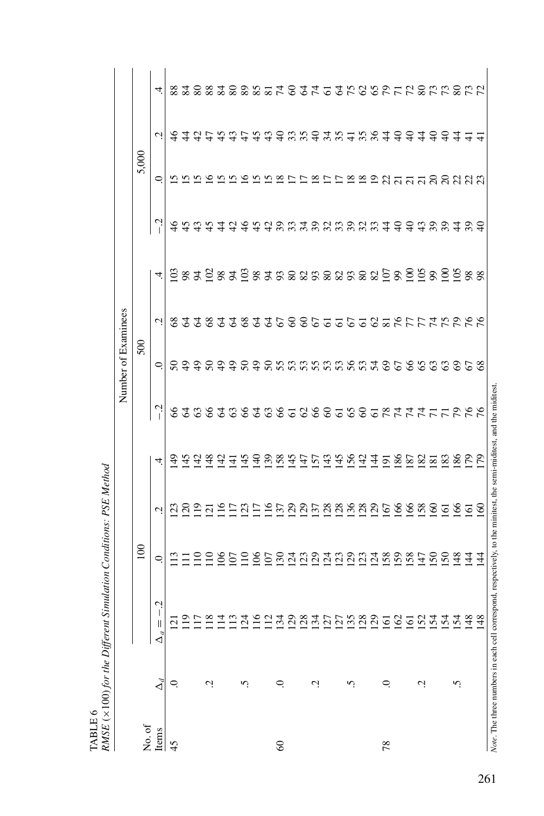|                 |            |                                                                                                                     |                        |                             |                 |              | Number of Examinees                   |                  |   |                |                          |               |                      |
|-----------------|------------|---------------------------------------------------------------------------------------------------------------------|------------------------|-----------------------------|-----------------|--------------|---------------------------------------|------------------|---|----------------|--------------------------|---------------|----------------------|
|                 |            |                                                                                                                     | 100                    |                             |                 |              | 500                                   |                  |   |                | 5,000                    |               |                      |
| No. of<br>Items | $\Delta_d$ | L,<br>ľ<br>$\parallel$<br>$\Delta_a$                                                                                | $\cup$                 | L,                          | 4               | $-2$         | Q                                     | ų                | 4 | $-2$           | Q                        | ų             | 4                    |
| 45              | ٥          |                                                                                                                     |                        | $\mathbb{Z}$                | ᡩ               |              |                                       |                  |   | $\frac{4}{6}$  |                          | ≆             |                      |
|                 |            |                                                                                                                     | $\Xi \equiv$           | $\mathcal{S}$               | 45              |              |                                       |                  |   | 45             |                          | $\sharp$      |                      |
|                 |            |                                                                                                                     |                        | $\overline{5}$              | $\frac{4}{2}$   |              |                                       |                  |   | 43             | n n n                    | 47            |                      |
|                 | L,         |                                                                                                                     |                        | $\overline{c}$              | 48              |              |                                       |                  |   | $\frac{4}{5}$  | $\overline{\circ}$       |               |                      |
|                 |            |                                                                                                                     |                        | $\overline{16}$             | $\overline{42}$ |              |                                       |                  |   |                | $\overline{\omega}$      | $\ddot{ }$    |                      |
|                 |            | <b>APPAHAAA</b>                                                                                                     | 1999999848848          | $\Box$                      | $\pm$           | 2333333      | 69989989                              | $833838383568$   |   | 438            | J.                       | $\frac{a}{x}$ | **********           |
|                 | Νj         |                                                                                                                     |                        | $\mathfrak{L}$              | 45              |              |                                       |                  |   |                | ≌                        | $\Delta$      |                      |
|                 |            |                                                                                                                     |                        | F                           | $\Theta$        |              |                                       |                  |   | 45             | v                        | $\frac{5}{4}$ |                      |
|                 |            | $\overline{5}$                                                                                                      |                        | $\Xi$                       | $\ddot{6}$      |              |                                       |                  |   | $\ddot{c}$     | v                        | ₩             |                      |
| $\degree$       | Q          |                                                                                                                     |                        | 57                          | 58              |              |                                       |                  |   |                | $\infty$                 | $\Theta$      |                      |
|                 |            |                                                                                                                     |                        | $\mathcal{S}^{\mathcal{S}}$ | $\overline{45}$ |              |                                       |                  |   |                | Ē                        |               | 3                    |
|                 |            |                                                                                                                     |                        | $\overline{5}$              | $\frac{1}{47}$  |              |                                       |                  |   |                | Ξ                        |               |                      |
|                 | L,         | 588585888585855                                                                                                     |                        | $\overline{37}$             | 157             | 382388       | S K K K K K K K K K S S S C S C S S S | 9967777988595553 |   | RRARRRRRRR#    | $\approx$                | ssexsassada   | 242                  |
|                 |            |                                                                                                                     |                        | 28                          | $\frac{43}{5}$  |              |                                       |                  |   |                | $\overline{\phantom{0}}$ |               |                      |
|                 |            |                                                                                                                     |                        | 28                          | $\frac{45}{5}$  |              |                                       |                  |   |                | E                        |               |                      |
|                 | Ċ          |                                                                                                                     |                        | $\mathcal{L}_{\mathcal{E}}$ | $\overline{56}$ |              |                                       |                  |   |                |                          |               |                      |
|                 |            |                                                                                                                     | <u> වූ ටූ පූ ව ව ව</u> | 28                          | $\ddot{c}$      | 999777778885 |                                       |                  |   |                | ≌ ≊                      |               | <b>GEGGETESEESEE</b> |
|                 |            |                                                                                                                     |                        | $\mathcal{S}^2$             | $\overline{4}$  |              |                                       |                  |   |                | $\overline{5}$           |               |                      |
| 78              | Q          |                                                                                                                     |                        | 67                          | $\overline{5}$  |              |                                       |                  |   |                |                          |               |                      |
|                 |            |                                                                                                                     |                        | $\infty$                    | 86              |              |                                       |                  |   | $\overline{4}$ |                          |               |                      |
|                 |            |                                                                                                                     |                        | $\mathcal{S}$               | 87              |              |                                       |                  |   | $\Theta$       |                          |               |                      |
|                 | L,         |                                                                                                                     | $\overline{47}$        | 58                          | 82              |              |                                       |                  |   |                |                          | $\sharp$      |                      |
|                 |            |                                                                                                                     | 50                     | $\mathcal{S}$               | $\overline{8}$  |              |                                       |                  |   | 7.884          |                          | $\Theta$      |                      |
|                 |            |                                                                                                                     | 50                     | $\overline{6}$              | 83              |              |                                       |                  |   |                |                          | $\Theta$      |                      |
|                 | ι.         |                                                                                                                     | $\frac{48}{5}$         | $\mathcal{S}$               | 66              |              |                                       |                  |   |                |                          | $\sharp$      |                      |
|                 |            | 48                                                                                                                  | $\overline{4}$         | $\overline{6}$              |                 |              |                                       |                  |   | ್ಲಿ ಕ          |                          | $\pm$         |                      |
|                 |            | 48                                                                                                                  | $\overline{4}$         | $\overline{160}$            | <b>P2</b>       |              | 89                                    |                  |   |                |                          | 급             |                      |
|                 |            | Note. The three numbers in each cell correspond, respectively, to the minitest, the semi-miditest, and the miditest |                        |                             |                 |              |                                       |                  |   |                |                          |               |                      |

TABLE 6<br>RMSE (×100) for the Different Simulation Conditions: PSE Method *RMSE* (×100) *for the Different Simulation Conditions: PSE Method* TABLE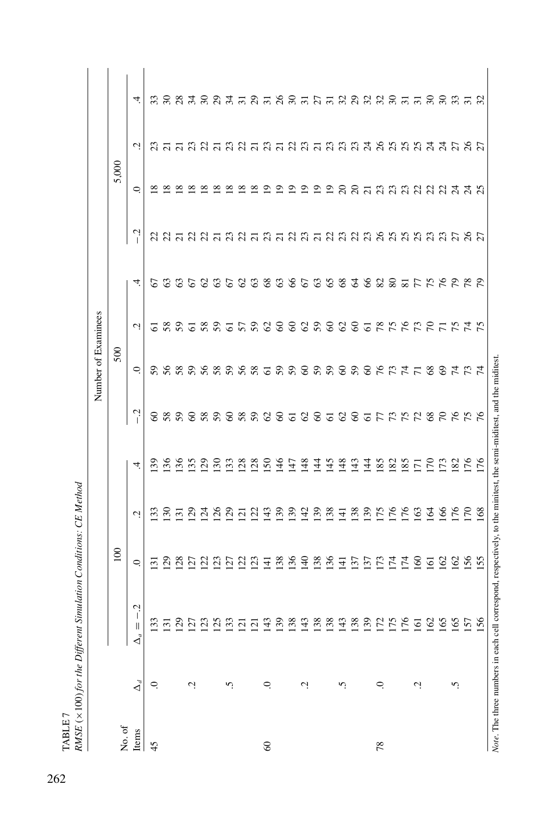|           |            |                                                                                                                     |                 |                  |                          |                 | Number of Examinees                        |                |                 |                               |                     |                |                 |
|-----------|------------|---------------------------------------------------------------------------------------------------------------------|-----------------|------------------|--------------------------|-----------------|--------------------------------------------|----------------|-----------------|-------------------------------|---------------------|----------------|-----------------|
| No. of    |            |                                                                                                                     | 100             |                  |                          |                 | 500                                        |                |                 |                               | 5,000               |                |                 |
| Items     | $\Delta_d$ | $\mathbf{\mathcal{L}}$<br>T<br>$\mid \mid$<br>$\Delta_a$                                                            | Q               | ų                | 4                        | L,<br>T         | Q                                          | ų              | 4               | ų<br>$\overline{\phantom{a}}$ | Q                   | ų              | 4               |
| 45        | Ó.         |                                                                                                                     | $\overline{31}$ | 33               | $\overline{\mathcal{E}}$ | 8               |                                            | 5              | 2               | 22                            | ∞                   | 23             | 33              |
|           |            |                                                                                                                     | 29              | $\frac{8}{2}$    | 36                       | 58              |                                            | 58             | $\mathfrak{L}$  | $\overline{c}$                | $\approx$           | $\overline{N}$ | $\approx$       |
|           |            | នគនិងន                                                                                                              |                 | $\overline{5}$   | 36                       | 59              | 888888                                     | 59             | $\mathbb{S}^3$  | $\overline{c}$                | $\overline{\infty}$ | $\overline{z}$ |                 |
|           | ų          |                                                                                                                     |                 | $\overline{5}$   | 35                       | $\mathcal{S}$   |                                            | $\overline{6}$ | 57              | 22                            | $\overline{\infty}$ | g              | 284             |
|           |            |                                                                                                                     |                 | $\mathcal{Z}$    | $^{29}$                  | 58              |                                            | \$3\$          | $\mathcal{S}$   | $\frac{2}{21}$                | $\overline{\infty}$ | 25             | $30^{20}$       |
|           |            | $\mathcal{S}$                                                                                                       | 85885           | $\frac{26}{2}$   | $\frac{30}{2}$           |                 |                                            |                | 63              |                               | $\infty$            | $\overline{N}$ |                 |
|           | N.         | 33                                                                                                                  |                 | $\overline{29}$  | 33                       | $\delta$        |                                            | $\overline{6}$ | 57              | 23                            | $^{\circ}$          | Z              | $\mathcal{L}$   |
|           |            | <b>គគ</b>                                                                                                           | 122             | $\overline{21}$  | 28                       | 58              | 388                                        | 57             | $\mathcal{S}$   | S                             | $^{\infty}$         | S              | ಸ               |
|           |            |                                                                                                                     | 123             | $\mathcal{Z}$    | 28                       | 59              |                                            | 59             | 63              |                               | $\infty$            | ਨ              | 29              |
| $\otimes$ | Q          | 43                                                                                                                  | $\overline{41}$ | $\overline{43}$  | $\mathcal{S}$            | $\mathcal{L}$   | 5                                          | $\mathcal{L}$  | 68              |                               | O                   | 23             | ಸ               |
|           |            | $\overline{39}$                                                                                                     | 138             | $\overline{39}$  | $\frac{46}{5}$           | 60              |                                            | $\infty$       | 63              | $\overline{\Omega}$           | ഉ                   | $\overline{a}$ | 26              |
|           |            | 38                                                                                                                  | 136             | $\overline{39}$  | $\overline{47}$          | 588             | $\begin{array}{c} 0 \\ 0 \\ 0 \end{array}$ | $\infty$       | 66              | 22                            | ഉ                   | 22             | 30              |
|           | L,         | 43                                                                                                                  | 140             | $\ddot{c}$       | 48                       |                 |                                            | 62             | 67              | 23                            | ഉ                   | $\mathfrak{L}$ | ಸ               |
|           |            | 38                                                                                                                  | 138             | $\overline{39}$  | $\overline{4}$           |                 | 59                                         |                | 63              | ಸ                             | ⊵                   | ಸ              | 27              |
|           |            | 38                                                                                                                  | $\frac{36}{5}$  | 38               | 45                       | $\overline{61}$ | <u>ಭಿ</u> 8                                | $\delta$       | 65              | 22                            | $\overline{0}$      | 23             | ಸ               |
|           | Νj.        | $\overline{43}$                                                                                                     | $\overline{41}$ | $\overline{4}$   | 48                       | 88              |                                            | $\mathcal{C}$  | 68              | 23                            | $\approx$           | $\mathfrak{L}$ | 32              |
|           |            | 38                                                                                                                  | $\overline{37}$ | 38               | 43                       |                 | 59                                         | $\delta$       | 2               | 22                            | $\mathcal{S}$       | 23             | 29              |
|           |            | $\overline{39}$                                                                                                     | $\overline{37}$ | $\overline{.39}$ | $\frac{4}{4}$            | $\overline{6}$  | $\infty$                                   | $\overline{6}$ | 66              | 23                            | $\overline{a}$      | $\overline{c}$ | 32              |
| 78        | Q          |                                                                                                                     | 173             | 175              | 85                       | $\overline{L}$  |                                            |                | 82              | 26                            |                     | 26             | 32              |
|           |            | 776                                                                                                                 | 174             | $\overline{76}$  | 82                       | 73              | ドドキロ                                       | 78777          | 80              | 25                            | ន្តន្តន្តន្តន       | 25             | $\overline{30}$ |
|           |            |                                                                                                                     | $\overline{5}$  | 76               | 85                       | 75              |                                            |                | $\overline{81}$ | 25                            |                     | 25             | $\overline{5}$  |
|           | L,         | $\overline{6}$                                                                                                      | 60              | 63               | $\overline{r}$           | 72              |                                            |                | $\overline{7}$  | 25                            |                     | 25             | $\overline{5}$  |
|           |            | $\mathcal{S}$                                                                                                       | $\overline{6}$  | $\overline{R}$   | $\mathcal{L}$            | $\frac{8}{3}$   | $\frac{8}{3}$                              |                |                 | 23                            |                     | $\overline{c}$ | $\approx$       |
|           |            | 65                                                                                                                  | 162             | $\overline{8}$   | 73                       | $\mathcal{L}$   | $\circledcirc$                             | 777            | 5528            | 23                            |                     | $\overline{c}$ | $\mathfrak{S}$  |
|           | Ν,         | 165                                                                                                                 | 162             | $\frac{6}{27}$   | 82                       | 76              | 72                                         |                |                 | $\overline{z}$                |                     | $\overline{z}$ | 33              |
|           |            | 57                                                                                                                  | 56              |                  | 76                       | 75              |                                            | 본              |                 | $\frac{5}{2}$                 | $\mathbb{F}$        | $\frac{5}{2}$  | $\overline{5}$  |
|           |            | 56                                                                                                                  | 155             | 168              | 176                      | 76              | $\overline{z}$                             | 75             | $\mathcal{E}$   | $\tilde{z}$                   | $\mathcal{L}$       | 27             | 32              |
|           |            | Note. The three numbers in each cell correspond, respectively, to the minitest, the semi-miditest, and the miditest |                 |                  |                          |                 |                                            |                |                 |                               |                     |                |                 |

TABLE 7<br>RMSE (×100) for the Different Simulation Conditions: CE Method *RMSE* (×100) *for the Different Simulation Conditions: CE Method* TABLE 7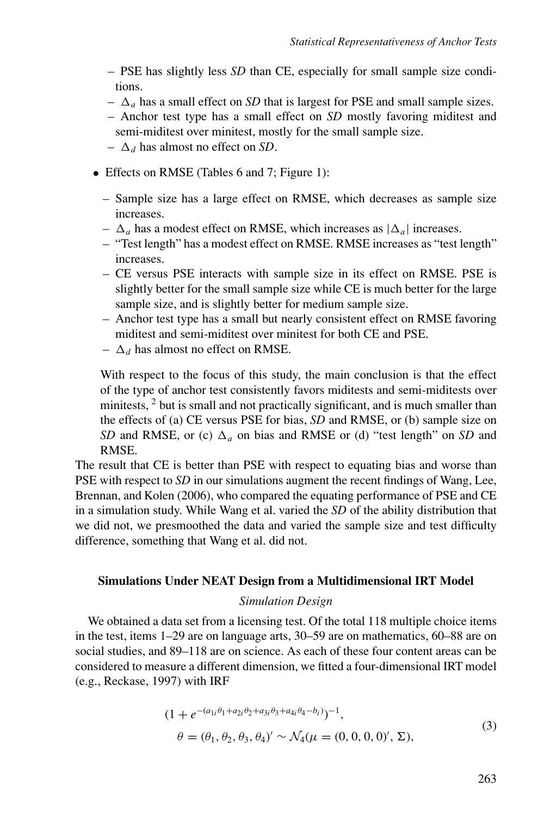- PSE has slightly less *SD* than CE, especially for small sample size conditions.
- $-\Delta_a$  has a small effect on *SD* that is largest for PSE and small sample sizes.
- Anchor test type has a small effect on *SD* mostly favoring miditest and semi-miditest over minitest, mostly for the small sample size.
- $-\Delta_d$  has almost no effect on *SD*.
- Effects on RMSE (Tables 6 and 7; Figure 1):
	- Sample size has a large effect on RMSE, which decreases as sample size increases.
	- $-\Delta_a$  has a modest effect on RMSE, which increases as  $|\Delta_a|$  increases.
	- "Test length" has a modest effect on RMSE. RMSE increases as "test length" increases.
	- CE versus PSE interacts with sample size in its effect on RMSE. PSE is slightly better for the small sample size while CE is much better for the large sample size, and is slightly better for medium sample size.
	- Anchor test type has a small but nearly consistent effect on RMSE favoring miditest and semi-miditest over minitest for both CE and PSE.
	- $-\Delta_d$  has almost no effect on RMSE.

With respect to the focus of this study, the main conclusion is that the effect of the type of anchor test consistently favors miditests and semi-miditests over minitests,  $2$  but is small and not practically significant, and is much smaller than the effects of (a) CE versus PSE for bias, *SD* and RMSE, or (b) sample size on *SD* and RMSE, or (c)  $\Delta_a$  on bias and RMSE or (d) "test length" on *SD* and RMSE.

The result that CE is better than PSE with respect to equating bias and worse than PSE with respect to *SD* in our simulations augment the recent findings of Wang, Lee, Brennan, and Kolen (2006), who compared the equating performance of PSE and CE in a simulation study. While Wang et al. varied the *SD* of the ability distribution that we did not, we presmoothed the data and varied the sample size and test difficulty difference, something that Wang et al. did not.

#### **Simulations Under NEAT Design from a Multidimensional IRT Model**

#### *Simulation Design*

We obtained a data set from a licensing test. Of the total 118 multiple choice items in the test, items 1–29 are on language arts, 30–59 are on mathematics, 60–88 are on social studies, and 89–118 are on science. As each of these four content areas can be considered to measure a different dimension, we fitted a four-dimensional IRT model (e.g., Reckase, 1997) with IRF

$$
(1 + e^{-(a_{1i}\theta_1 + a_{2i}\theta_2 + a_{3i}\theta_3 + a_{4i}\theta_4 - b_i)})^{-1},
$$
  
\n
$$
\theta = (\theta_1, \theta_2, \theta_3, \theta_4)' \sim \mathcal{N}_4(\mu = (0, 0, 0, 0)', \Sigma),
$$
\n(3)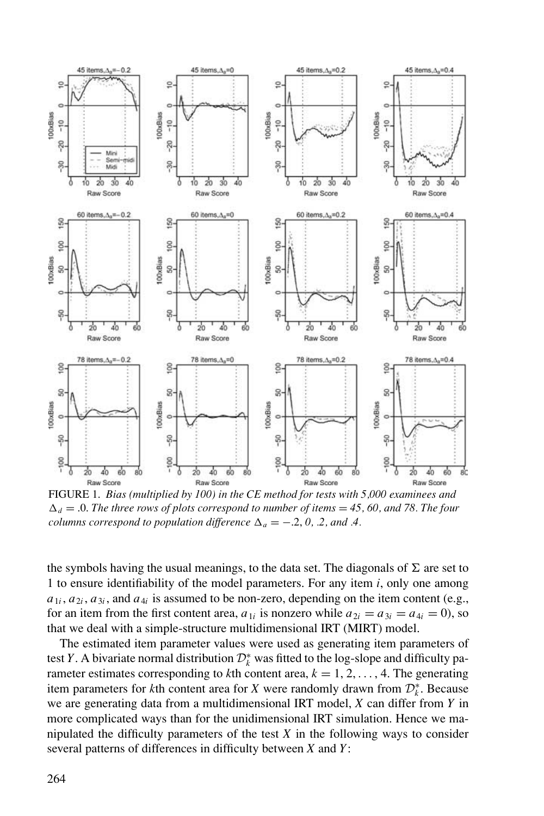

FIGURE 1. *Bias (multiplied by 100) in the CE method for tests with 5,000 examinees and*  $\Delta_d = .0$ . *The three rows of plots correspond to number of items* = 45, 60, and 78. *The four columns correspond to population difference*  $\Delta_a = -2, 0, 0.2$ , and 0.4.

the symbols having the usual meanings, to the data set. The diagonals of  $\Sigma$  are set to 1 to ensure identifiability of the model parameters. For any item *i*, only one among  $a_{1i}$ ,  $a_{2i}$ ,  $a_{3i}$ , and  $a_{4i}$  is assumed to be non-zero, depending on the item content (e.g., for an item from the first content area,  $a_{1i}$  is nonzero while  $a_{2i} = a_{3i} = a_{4i} = 0$ , so that we deal with a simple-structure multidimensional IRT (MIRT) model.

The estimated item parameter values were used as generating item parameters of test *Y*. A bivariate normal distribution  $\mathcal{D}_k^*$  was fitted to the log-slope and difficulty parameter estimates corresponding to *k*th content area,  $k = 1, 2, \ldots, 4$ . The generating item parameters for *k*th content area for *X* were randomly drawn from D<sup>∗</sup> *<sup>k</sup>* . Because we are generating data from a multidimensional IRT model, *X* can differ from *Y* in more complicated ways than for the unidimensional IRT simulation. Hence we manipulated the difficulty parameters of the test  $X$  in the following ways to consider several patterns of differences in difficulty between *X* and *Y*: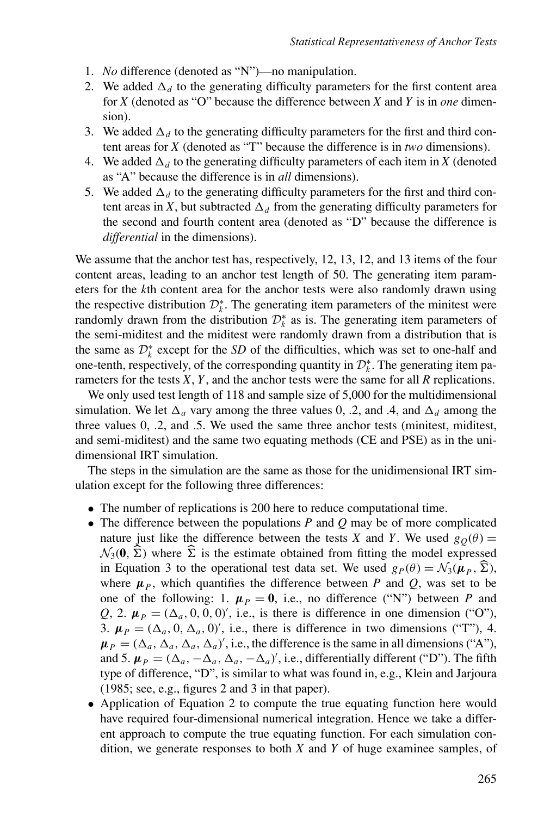- 1. *No* difference (denoted as "N")—no manipulation.
- 2. We added  $\Delta_d$  to the generating difficulty parameters for the first content area for *X* (denoted as "O" because the difference between *X* and *Y* is in *one* dimension).
- 3. We added  $\Delta_d$  to the generating difficulty parameters for the first and third content areas for *X* (denoted as "T" because the difference is in *two* dimensions).
- 4. We added  $\Delta_d$  to the generating difficulty parameters of each item in *X* (denoted as "A" because the difference is in *all* dimensions).
- 5. We added  $\Delta_d$  to the generating difficulty parameters for the first and third content areas in *X*, but subtracted  $\Delta_d$  from the generating difficulty parameters for the second and fourth content area (denoted as "D" because the difference is *differential* in the dimensions).

We assume that the anchor test has, respectively, 12, 13, 12, and 13 items of the four content areas, leading to an anchor test length of 50. The generating item parameters for the *k*th content area for the anchor tests were also randomly drawn using the respective distribution D<sup>∗</sup> *<sup>k</sup>* . The generating item parameters of the minitest were randomly drawn from the distribution  $\mathcal{D}_{k}^{*}$  as is. The generating item parameters of the semi-miditest and the miditest were randomly drawn from a distribution that is the same as  $\mathcal{D}_{k}^{*}$  except for the *SD* of the difficulties, which was set to one-half and one-tenth, respectively, of the corresponding quantity in  $\mathcal{D}_{k}^{*}$ . The generating item parameters for the tests *X*, *Y*, and the anchor tests were the same for all *R* replications.

We only used test length of 118 and sample size of 5,000 for the multidimensional simulation. We let  $\Delta_a$  vary among the three values 0, .2, and .4, and  $\Delta_d$  among the three values 0, .2, and .5. We used the same three anchor tests (minitest, miditest, and semi-miditest) and the same two equating methods (CE and PSE) as in the unidimensional IRT simulation.

The steps in the simulation are the same as those for the unidimensional IRT simulation except for the following three differences:

- The number of replications is 200 here to reduce computational time.
- The difference between the populations *P* and *Q* may be of more complicated nature just like the difference between the tests *X* and *Y*. We used  $g<sub>O</sub>(\theta)$  =  $\mathcal{N}_3(\mathbf{0}, \widehat{\Sigma})$  where  $\widehat{\Sigma}$  is the estimate obtained from fitting the model expressed in Equation 3 to the operational test data set. We used  $g_P(\theta) = \mathcal{N}_3(\mu_P, \hat{\Sigma})$ , where  $\mu_p$ , which quantifies the difference between *P* and *Q*, was set to be one of the following: 1.  $\mu_p = 0$ , i.e., no difference ("N") between *P* and  $Q$ , 2.  $\mu_p = (\Delta_a, 0, 0, 0)'$ , i.e., is there is difference in one dimension ("O"), 3.  $\mu_p = (\Delta_a, 0, \Delta_a, 0)$ , i.e., there is difference in two dimensions ("T"), 4.  $\mu_p = (\Delta_a, \Delta_a, \Delta_a, \Delta_a)'$ , i.e., the difference is the same in all dimensions ("A"), and 5.  $\mu_p = (\Delta_a, -\Delta_a, \Delta_a, -\Delta_a)'$ , i.e., differentially different ("D"). The fifth type of difference, "D", is similar to what was found in, e.g., Klein and Jarjoura (1985; see, e.g., figures 2 and 3 in that paper).
- Application of Equation 2 to compute the true equating function here would have required four-dimensional numerical integration. Hence we take a different approach to compute the true equating function. For each simulation condition, we generate responses to both *X* and *Y* of huge examinee samples, of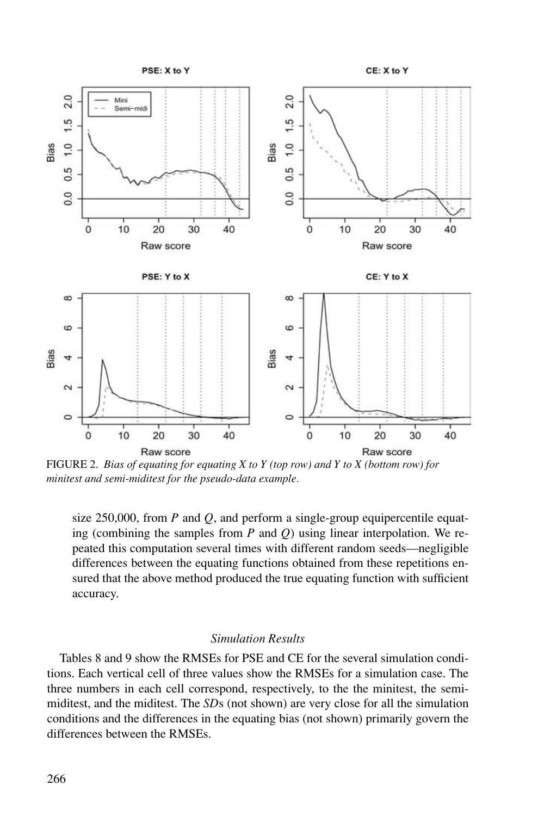

FIGURE 2. *Bias of equating for equating X to Y (top row) and Y to X (bottom row) for minitest and semi-miditest for the pseudo-data example.*

size 250,000, from *P* and *Q*, and perform a single-group equipercentile equating (combining the samples from *P* and *Q*) using linear interpolation. We repeated this computation several times with different random seeds—negligible differences between the equating functions obtained from these repetitions ensured that the above method produced the true equating function with sufficient accuracy.

# *Simulation Results*

Tables 8 and 9 show the RMSEs for PSE and CE for the several simulation conditions. Each vertical cell of three values show the RMSEs for a simulation case. The three numbers in each cell correspond, respectively, to the the minitest, the semimiditest, and the miditest. The *SD*s (not shown) are very close for all the simulation conditions and the differences in the equating bias (not shown) primarily govern the differences between the RMSEs.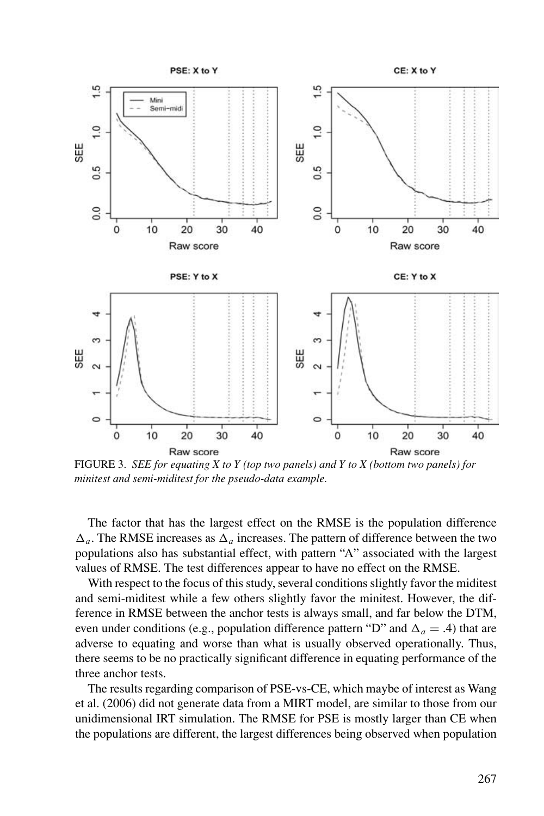

FIGURE 3. *SEE for equating X to Y (top two panels) and Y to X (bottom two panels) for minitest and semi-miditest for the pseudo-data example.*

The factor that has the largest effect on the RMSE is the population difference  $\Delta_a$ . The RMSE increases as  $\Delta_a$  increases. The pattern of difference between the two populations also has substantial effect, with pattern "A" associated with the largest values of RMSE. The test differences appear to have no effect on the RMSE.

With respect to the focus of this study, several conditions slightly favor the miditest and semi-miditest while a few others slightly favor the minitest. However, the difference in RMSE between the anchor tests is always small, and far below the DTM, even under conditions (e.g., population difference pattern "D" and  $\Delta_a = .4$ ) that are adverse to equating and worse than what is usually observed operationally. Thus, there seems to be no practically significant difference in equating performance of the three anchor tests.

The results regarding comparison of PSE-vs-CE, which maybe of interest as Wang et al. (2006) did not generate data from a MIRT model, are similar to those from our unidimensional IRT simulation. The RMSE for PSE is mostly larger than CE when the populations are different, the largest differences being observed when population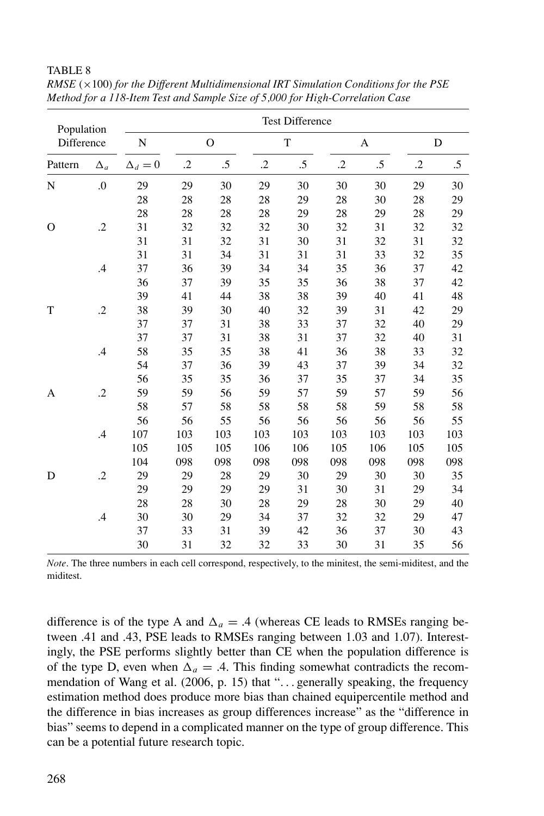| Population    |                  |              |            |                |         | <b>Test Difference</b> |         |        |         |     |
|---------------|------------------|--------------|------------|----------------|---------|------------------------|---------|--------|---------|-----|
| Difference    |                  | N            |            | $\overline{O}$ |         | T                      |         | A      |         | D   |
| Pattern       | $\Delta_a$       | $\Delta_d=0$ | $\cdot$ .2 | $.5\,$         | $\cdot$ | .5                     | $\cdot$ | $.5\,$ | $\cdot$ | .5  |
| ${\bf N}$     | $\overline{0}$ . | 29           | 29         | 30             | 29      | 30                     | 30      | 30     | 29      | 30  |
|               |                  | 28           | 28         | 28             | 28      | 29                     | 28      | 30     | 28      | 29  |
|               |                  | 28           | 28         | 28             | 28      | 29                     | 28      | 29     | 28      | 29  |
| $\mathcal{O}$ | $\cdot$          | 31           | 32         | 32             | 32      | 30                     | 32      | 31     | 32      | 32  |
|               |                  | 31           | 31         | 32             | 31      | 30                     | 31      | 32     | 31      | 32  |
|               |                  | 31           | 31         | 34             | 31      | 31                     | 31      | 33     | 32      | 35  |
|               | .4               | 37           | 36         | 39             | 34      | 34                     | 35      | 36     | 37      | 42  |
|               |                  | 36           | 37         | 39             | 35      | 35                     | 36      | 38     | 37      | 42  |
|               |                  | 39           | 41         | 44             | 38      | 38                     | 39      | 40     | 41      | 48  |
| T             | $\cdot$          | 38           | 39         | 30             | 40      | 32                     | 39      | 31     | 42      | 29  |
|               |                  | 37           | 37         | 31             | 38      | 33                     | 37      | 32     | 40      | 29  |
|               |                  | 37           | 37         | 31             | 38      | 31                     | 37      | 32     | 40      | 31  |
|               | .4               | 58           | 35         | 35             | 38      | 41                     | 36      | 38     | 33      | 32  |
|               |                  | 54           | 37         | 36             | 39      | 43                     | 37      | 39     | 34      | 32  |
|               |                  | 56           | 35         | 35             | 36      | 37                     | 35      | 37     | 34      | 35  |
| A             | $\cdot$          | 59           | 59         | 56             | 59      | 57                     | 59      | 57     | 59      | 56  |
|               |                  | 58           | 57         | 58             | 58      | 58                     | 58      | 59     | 58      | 58  |
|               |                  | 56           | 56         | 55             | 56      | 56                     | 56      | 56     | 56      | 55  |
|               | .4               | 107          | 103        | 103            | 103     | 103                    | 103     | 103    | 103     | 103 |
|               |                  | 105          | 105        | 105            | 106     | 106                    | 105     | 106    | 105     | 105 |
|               |                  | 104          | 098        | 098            | 098     | 098                    | 098     | 098    | 098     | 098 |
| D             | $\cdot$          | 29           | 29         | 28             | 29      | 30                     | 29      | 30     | 30      | 35  |
|               |                  | 29           | 29         | 29             | 29      | 31                     | 30      | 31     | 29      | 34  |
|               |                  | 28           | 28         | 30             | 28      | 29                     | 28      | 30     | 29      | 40  |
|               | .4               | 30           | 30         | 29             | 34      | 37                     | 32      | 32     | 29      | 47  |
|               |                  | 37           | 33         | 31             | 39      | 42                     | 36      | 37     | 30      | 43  |
|               |                  | 30           | 31         | 32             | 32      | 33                     | 30      | 31     | 35      | 56  |

*RMSE* (×100) *for the Different Multidimensional IRT Simulation Conditions for the PSE Method for a 118-Item Test and Sample Size of 5,000 for High-Correlation Case*

*Note*. The three numbers in each cell correspond, respectively, to the minitest, the semi-miditest, and the miditest.

difference is of the type A and  $\Delta_a = .4$  (whereas CE leads to RMSEs ranging between .41 and .43, PSE leads to RMSEs ranging between 1.03 and 1.07). Interestingly, the PSE performs slightly better than CE when the population difference is of the type D, even when  $\Delta_a = .4$ . This finding somewhat contradicts the recommendation of Wang et al. (2006, p. 15) that "... generally speaking, the frequency estimation method does produce more bias than chained equipercentile method and the difference in bias increases as group differences increase" as the "difference in bias" seems to depend in a complicated manner on the type of group difference. This can be a potential future research topic.

TABLE 8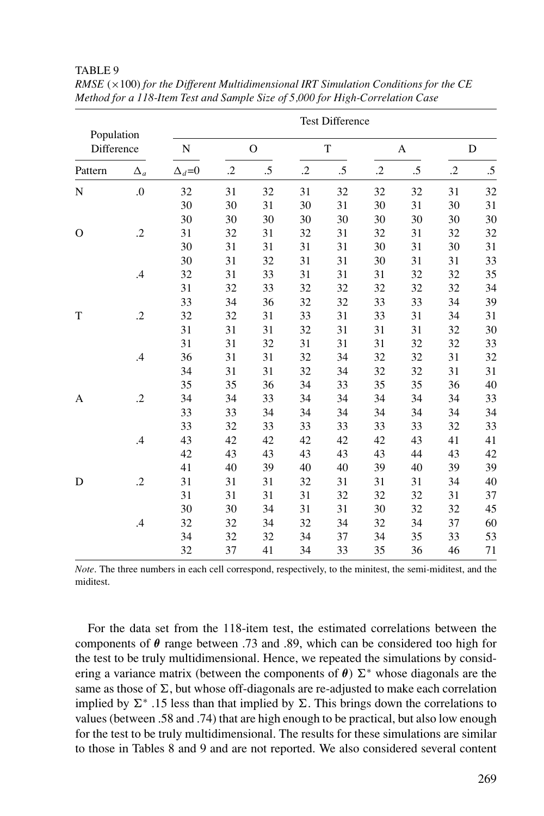|                          |            |              |         |          |         | <b>Test Difference</b> |         |              |         |    |
|--------------------------|------------|--------------|---------|----------|---------|------------------------|---------|--------------|---------|----|
| Population<br>Difference |            | ${\bf N}$    |         | $\Omega$ |         | T                      |         | $\mathbf{A}$ |         | D  |
| Pattern                  | $\Delta_a$ | $\Delta_d=0$ | $\cdot$ | .5       | $\cdot$ | .5                     | $\cdot$ | .5           | $\cdot$ | .5 |
| N                        | 0.         | 32           | 31      | 32       | 31      | 32                     | 32      | 32           | 31      | 32 |
|                          |            | 30           | 30      | 31       | 30      | 31                     | 30      | 31           | 30      | 31 |
|                          |            | 30           | 30      | 30       | 30      | 30                     | 30      | 30           | 30      | 30 |
| $\circ$                  | $\cdot$    | 31           | 32      | 31       | 32      | 31                     | 32      | 31           | 32      | 32 |
|                          |            | 30           | 31      | 31       | 31      | 31                     | 30      | 31           | 30      | 31 |
|                          |            | 30           | 31      | 32       | 31      | 31                     | 30      | 31           | 31      | 33 |
|                          | $\cdot$ 4  | 32           | 31      | 33       | 31      | 31                     | 31      | 32           | 32      | 35 |
|                          |            | 31           | 32      | 33       | 32      | 32                     | 32      | 32           | 32      | 34 |
|                          |            | 33           | 34      | 36       | 32      | 32                     | 33      | 33           | 34      | 39 |
| T                        | $\cdot$    | 32           | 32      | 31       | 33      | 31                     | 33      | 31           | 34      | 31 |
|                          |            | 31           | 31      | 31       | 32      | 31                     | 31      | 31           | 32      | 30 |
|                          |            | 31           | 31      | 32       | 31      | 31                     | 31      | 32           | 32      | 33 |
|                          | .4         | 36           | 31      | 31       | 32      | 34                     | 32      | 32           | 31      | 32 |
|                          |            | 34           | 31      | 31       | 32      | 34                     | 32      | 32           | 31      | 31 |
|                          |            | 35           | 35      | 36       | 34      | 33                     | 35      | 35           | 36      | 40 |
| A                        | $\cdot$    | 34           | 34      | 33       | 34      | 34                     | 34      | 34           | 34      | 33 |
|                          |            | 33           | 33      | 34       | 34      | 34                     | 34      | 34           | 34      | 34 |
|                          |            | 33           | 32      | 33       | 33      | 33                     | 33      | 33           | 32      | 33 |
|                          | $\cdot$ 4  | 43           | 42      | 42       | 42      | 42                     | 42      | 43           | 41      | 41 |
|                          |            | 42           | 43      | 43       | 43      | 43                     | 43      | 44           | 43      | 42 |
|                          |            | 41           | 40      | 39       | 40      | 40                     | 39      | 40           | 39      | 39 |
| D                        | $\cdot$    | 31           | 31      | 31       | 32      | 31                     | 31      | 31           | 34      | 40 |
|                          |            | 31           | 31      | 31       | 31      | 32                     | 32      | 32           | 31      | 37 |
|                          |            | 30           | 30      | 34       | 31      | 31                     | 30      | 32           | 32      | 45 |
|                          | $\cdot$ 4  | 32           | 32      | 34       | 32      | 34                     | 32      | 34           | 37      | 60 |
|                          |            | 34           | 32      | 32       | 34      | 37                     | 34      | 35           | 33      | 53 |
|                          |            | 32           | 37      | 41       | 34      | 33                     | 35      | 36           | 46      | 71 |

TABLE 9 *RMSE* (×100) *for the Different Multidimensional IRT Simulation Conditions for the CE Method for a 118-Item Test and Sample Size of 5,000 for High-Correlation Case*

*Note*. The three numbers in each cell correspond, respectively, to the minitest, the semi-miditest, and the miditest.

For the data set from the 118-item test, the estimated correlations between the components of *θ* range between .73 and .89, which can be considered too high for the test to be truly multidimensional. Hence, we repeated the simulations by considering a variance matrix (between the components of  $\theta$ )  $\Sigma^*$  whose diagonals are the same as those of  $\Sigma$ , but whose off-diagonals are re-adjusted to make each correlation implied by  $\Sigma^*$ .15 less than that implied by  $\Sigma$ . This brings down the correlations to values (between .58 and .74) that are high enough to be practical, but also low enough for the test to be truly multidimensional. The results for these simulations are similar to those in Tables 8 and 9 and are not reported. We also considered several content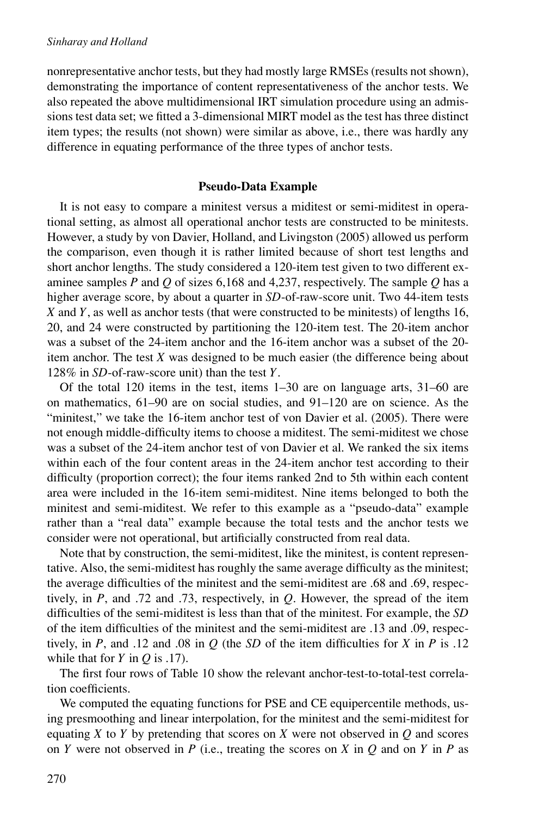nonrepresentative anchor tests, but they had mostly large RMSEs (results not shown), demonstrating the importance of content representativeness of the anchor tests. We also repeated the above multidimensional IRT simulation procedure using an admissions test data set; we fitted a 3-dimensional MIRT model as the test has three distinct item types; the results (not shown) were similar as above, i.e., there was hardly any difference in equating performance of the three types of anchor tests.

#### **Pseudo-Data Example**

It is not easy to compare a minitest versus a miditest or semi-miditest in operational setting, as almost all operational anchor tests are constructed to be minitests. However, a study by von Davier, Holland, and Livingston (2005) allowed us perform the comparison, even though it is rather limited because of short test lengths and short anchor lengths. The study considered a 120-item test given to two different examinee samples *P* and *Q* of sizes 6,168 and 4,237, respectively. The sample *Q* has a higher average score, by about a quarter in *SD*-of-raw-score unit. Two 44-item tests *X* and *Y*, as well as anchor tests (that were constructed to be minitests) of lengths 16, 20, and 24 were constructed by partitioning the 120-item test. The 20-item anchor was a subset of the 24-item anchor and the 16-item anchor was a subset of the 20 item anchor. The test *X* was designed to be much easier (the difference being about 128% in *SD*-of-raw-score unit) than the test *Y*.

Of the total 120 items in the test, items 1–30 are on language arts, 31–60 are on mathematics, 61–90 are on social studies, and 91–120 are on science. As the "minitest," we take the 16-item anchor test of von Davier et al. (2005). There were not enough middle-difficulty items to choose a miditest. The semi-miditest we chose was a subset of the 24-item anchor test of von Davier et al. We ranked the six items within each of the four content areas in the 24-item anchor test according to their difficulty (proportion correct); the four items ranked 2nd to 5th within each content area were included in the 16-item semi-miditest. Nine items belonged to both the minitest and semi-miditest. We refer to this example as a "pseudo-data" example rather than a "real data" example because the total tests and the anchor tests we consider were not operational, but artificially constructed from real data.

Note that by construction, the semi-miditest, like the minitest, is content representative. Also, the semi-miditest has roughly the same average difficulty as the minitest; the average difficulties of the minitest and the semi-miditest are .68 and .69, respectively, in *P*, and .72 and .73, respectively, in *Q*. However, the spread of the item difficulties of the semi-miditest is less than that of the minitest. For example, the *SD* of the item difficulties of the minitest and the semi-miditest are .13 and .09, respectively, in *P*, and .12 and .08 in *Q* (the *SD* of the item difficulties for *X* in *P* is .12 while that for *Y* in *Q* is .17).

The first four rows of Table 10 show the relevant anchor-test-to-total-test correlation coefficients.

We computed the equating functions for PSE and CE equipercentile methods, using presmoothing and linear interpolation, for the minitest and the semi-miditest for equating *X* to *Y* by pretending that scores on *X* were not observed in  $Q$  and scores on *Y* were not observed in *P* (i.e., treating the scores on *X* in *Q* and on *Y* in *P* as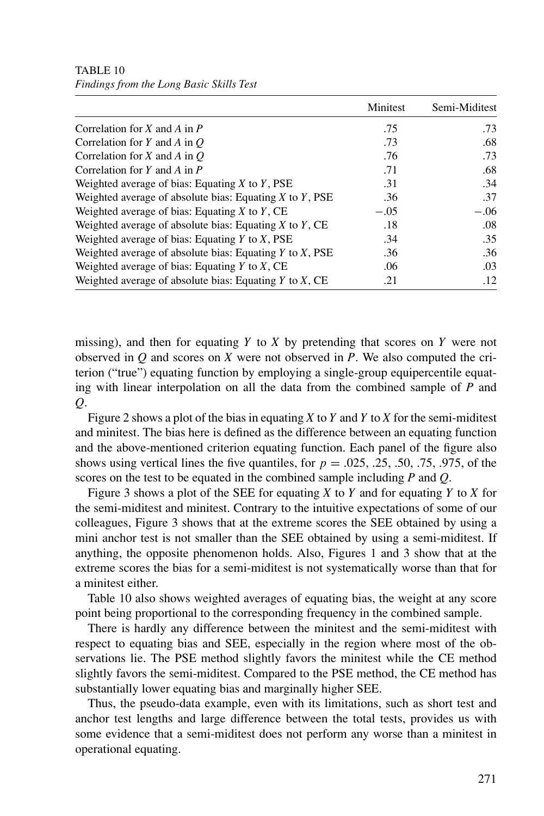TABLE 10 *Findings from the Long Basic Skills Test*

|                                                              | Minitest | Semi-Miditest |
|--------------------------------------------------------------|----------|---------------|
| Correlation for $X$ and $A$ in $P$                           | .75      | .73           |
| Correlation for Y and A in $O$                               | .73      | .68           |
| Correlation for $X$ and $A$ in $O$                           | .76      | .73           |
| Correlation for $Y$ and $A$ in $P$                           | .71      | .68           |
| Weighted average of bias: Equating $X$ to $Y$ , PSE          | .31      | .34           |
| Weighted average of absolute bias: Equating $X$ to $Y$ , PSE | .36      | .37           |
| Weighted average of bias: Equating $X$ to $Y$ , CE           | $-.05$   | $-.06$        |
| Weighted average of absolute bias: Equating $X$ to $Y$ , CE  | .18      | .08           |
| Weighted average of bias: Equating $Y$ to $X$ , PSE          | .34      | .35           |
| Weighted average of absolute bias: Equating $Y$ to $X$ , PSE | .36      | .36           |
| Weighted average of bias: Equating $Y$ to $X$ , CE           | .06      | .03           |
| Weighted average of absolute bias: Equating $Y$ to $X$ , CE  | .21      | .12           |

missing), and then for equating *Y* to *X* by pretending that scores on *Y* were not observed in *Q* and scores on *X* were not observed in *P*. We also computed the criterion ("true") equating function by employing a single-group equipercentile equating with linear interpolation on all the data from the combined sample of *P* and *Q*.

Figure 2 shows a plot of the bias in equating *X* to *Y* and *Y* to *X* for the semi-miditest and minitest. The bias here is defined as the difference between an equating function and the above-mentioned criterion equating function. Each panel of the figure also shows using vertical lines the five quantiles, for  $p = .025, .25, .50, .75, .975,$  of the scores on the test to be equated in the combined sample including *P* and *Q*.

Figure 3 shows a plot of the SEE for equating *X* to *Y* and for equating *Y* to *X* for the semi-miditest and minitest. Contrary to the intuitive expectations of some of our colleagues, Figure 3 shows that at the extreme scores the SEE obtained by using a mini anchor test is not smaller than the SEE obtained by using a semi-miditest. If anything, the opposite phenomenon holds. Also, Figures 1 and 3 show that at the extreme scores the bias for a semi-miditest is not systematically worse than that for a minitest either.

Table 10 also shows weighted averages of equating bias, the weight at any score point being proportional to the corresponding frequency in the combined sample.

There is hardly any difference between the minitest and the semi-miditest with respect to equating bias and SEE, especially in the region where most of the observations lie. The PSE method slightly favors the minitest while the CE method slightly favors the semi-miditest. Compared to the PSE method, the CE method has substantially lower equating bias and marginally higher SEE.

Thus, the pseudo-data example, even with its limitations, such as short test and anchor test lengths and large difference between the total tests, provides us with some evidence that a semi-miditest does not perform any worse than a minitest in operational equating.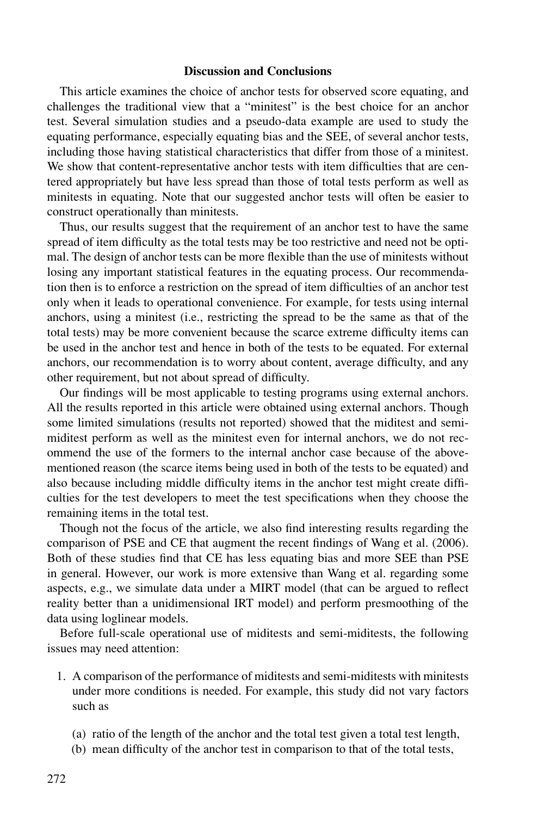#### **Discussion and Conclusions**

This article examines the choice of anchor tests for observed score equating, and challenges the traditional view that a "minitest" is the best choice for an anchor test. Several simulation studies and a pseudo-data example are used to study the equating performance, especially equating bias and the SEE, of several anchor tests, including those having statistical characteristics that differ from those of a minitest. We show that content-representative anchor tests with item difficulties that are centered appropriately but have less spread than those of total tests perform as well as minitests in equating. Note that our suggested anchor tests will often be easier to construct operationally than minitests.

Thus, our results suggest that the requirement of an anchor test to have the same spread of item difficulty as the total tests may be too restrictive and need not be optimal. The design of anchor tests can be more flexible than the use of minitests without losing any important statistical features in the equating process. Our recommendation then is to enforce a restriction on the spread of item difficulties of an anchor test only when it leads to operational convenience. For example, for tests using internal anchors, using a minitest (i.e., restricting the spread to be the same as that of the total tests) may be more convenient because the scarce extreme difficulty items can be used in the anchor test and hence in both of the tests to be equated. For external anchors, our recommendation is to worry about content, average difficulty, and any other requirement, but not about spread of difficulty.

Our findings will be most applicable to testing programs using external anchors. All the results reported in this article were obtained using external anchors. Though some limited simulations (results not reported) showed that the miditest and semimiditest perform as well as the minitest even for internal anchors, we do not recommend the use of the formers to the internal anchor case because of the abovementioned reason (the scarce items being used in both of the tests to be equated) and also because including middle difficulty items in the anchor test might create difficulties for the test developers to meet the test specifications when they choose the remaining items in the total test.

Though not the focus of the article, we also find interesting results regarding the comparison of PSE and CE that augment the recent findings of Wang et al. (2006). Both of these studies find that CE has less equating bias and more SEE than PSE in general. However, our work is more extensive than Wang et al. regarding some aspects, e.g., we simulate data under a MIRT model (that can be argued to reflect reality better than a unidimensional IRT model) and perform presmoothing of the data using loglinear models.

Before full-scale operational use of miditests and semi-miditests, the following issues may need attention:

- 1. A comparison of the performance of miditests and semi-miditests with minitests under more conditions is needed. For example, this study did not vary factors such as
	- (a) ratio of the length of the anchor and the total test given a total test length,
	- (b) mean difficulty of the anchor test in comparison to that of the total tests,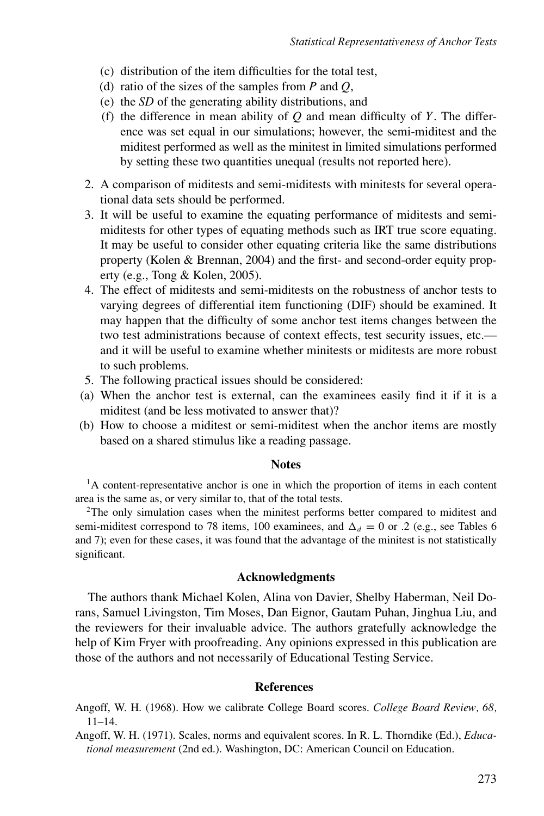- (c) distribution of the item difficulties for the total test,
- (d) ratio of the sizes of the samples from *P* and *Q*,
- (e) the *SD* of the generating ability distributions, and
- (f) the difference in mean ability of *Q* and mean difficulty of *Y*. The difference was set equal in our simulations; however, the semi-miditest and the miditest performed as well as the minitest in limited simulations performed by setting these two quantities unequal (results not reported here).
- 2. A comparison of miditests and semi-miditests with minitests for several operational data sets should be performed.
- 3. It will be useful to examine the equating performance of miditests and semimiditests for other types of equating methods such as IRT true score equating. It may be useful to consider other equating criteria like the same distributions property (Kolen & Brennan, 2004) and the first- and second-order equity property (e.g., Tong & Kolen, 2005).
- 4. The effect of miditests and semi-miditests on the robustness of anchor tests to varying degrees of differential item functioning (DIF) should be examined. It may happen that the difficulty of some anchor test items changes between the two test administrations because of context effects, test security issues, etc. and it will be useful to examine whether minitests or miditests are more robust to such problems.
- 5. The following practical issues should be considered:
- (a) When the anchor test is external, can the examinees easily find it if it is a miditest (and be less motivated to answer that)?
- (b) How to choose a miditest or semi-miditest when the anchor items are mostly based on a shared stimulus like a reading passage.

#### **Notes**

 ${}^{1}$ A content-representative anchor is one in which the proportion of items in each content area is the same as, or very similar to, that of the total tests.

<sup>2</sup>The only simulation cases when the minitest performs better compared to miditest and semi-miditest correspond to 78 items, 100 examinees, and  $\Delta_d = 0$  or .2 (e.g., see Tables 6 and 7); even for these cases, it was found that the advantage of the minitest is not statistically significant.

### **Acknowledgments**

The authors thank Michael Kolen, Alina von Davier, Shelby Haberman, Neil Dorans, Samuel Livingston, Tim Moses, Dan Eignor, Gautam Puhan, Jinghua Liu, and the reviewers for their invaluable advice. The authors gratefully acknowledge the help of Kim Fryer with proofreading. Any opinions expressed in this publication are those of the authors and not necessarily of Educational Testing Service.

# **References**

Angoff, W. H. (1968). How we calibrate College Board scores. *College Board Review, 68,* 11–14.

Angoff, W. H. (1971). Scales, norms and equivalent scores. In R. L. Thorndike (Ed.), *Educational measurement* (2nd ed.). Washington, DC: American Council on Education.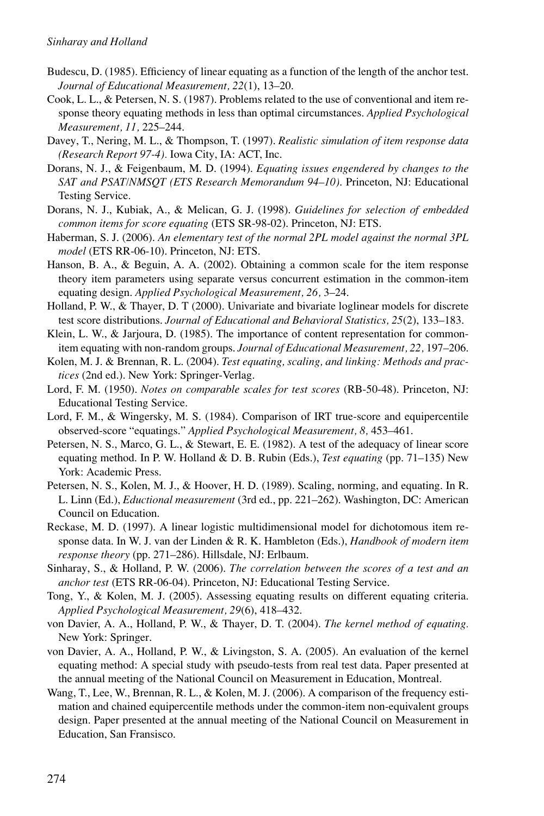- Budescu, D. (1985). Efficiency of linear equating as a function of the length of the anchor test. *Journal of Educational Measurement, 22*(1), 13–20.
- Cook, L. L., & Petersen, N. S. (1987). Problems related to the use of conventional and item response theory equating methods in less than optimal circumstances. *Applied Psychological Measurement, 11,* 225–244.
- Davey, T., Nering, M. L., & Thompson, T. (1997). *Realistic simulation of item response data (Research Report 97-4).* Iowa City, IA: ACT, Inc.
- Dorans, N. J., & Feigenbaum, M. D. (1994). *Equating issues engendered by changes to the SAT and PSAT/NMSQT (ETS Research Memorandum 94–10)*. Princeton, NJ: Educational Testing Service.
- Dorans, N. J., Kubiak, A., & Melican, G. J. (1998). *Guidelines for selection of embedded common items for score equating* (ETS SR-98-02). Princeton, NJ: ETS.
- Haberman, S. J. (2006). *An elementary test of the normal 2PL model against the normal 3PL model* (ETS RR-06-10). Princeton, NJ: ETS.
- Hanson, B. A., & Beguin, A. A. (2002). Obtaining a common scale for the item response theory item parameters using separate versus concurrent estimation in the common-item equating design. *Applied Psychological Measurement, 26,* 3–24.
- Holland, P. W., & Thayer, D. T (2000). Univariate and bivariate loglinear models for discrete test score distributions. *Journal of Educational and Behavioral Statistics, 25*(2), 133–183.
- Klein, L. W., & Jarjoura, D. (1985). The importance of content representation for commonitem equating with non-random groups. *Journal of Educational Measurement, 22,* 197–206.
- Kolen, M. J. & Brennan, R. L. (2004). *Test equating, scaling, and linking: Methods and practices* (2nd ed.). New York: Springer-Verlag.
- Lord, F. M. (1950). *Notes on comparable scales for test scores* (RB-50-48). Princeton, NJ: Educational Testing Service.
- Lord, F. M., & Wingersky, M. S. (1984). Comparison of IRT true-score and equipercentile observed-score "equatings." *Applied Psychological Measurement, 8,* 453–461.
- Petersen, N. S., Marco, G. L., & Stewart, E. E. (1982). A test of the adequacy of linear score equating method. In P. W. Holland & D. B. Rubin (Eds.), *Test equating* (pp. 71–135) New York: Academic Press.
- Petersen, N. S., Kolen, M. J., & Hoover, H. D. (1989). Scaling, norming, and equating. In R. L. Linn (Ed.), *Eductional measurement* (3rd ed., pp. 221–262). Washington, DC: American Council on Education.
- Reckase, M. D. (1997). A linear logistic multidimensional model for dichotomous item response data. In W. J. van der Linden & R. K. Hambleton (Eds.), *Handbook of modern item response theory* (pp. 271–286). Hillsdale, NJ: Erlbaum.
- Sinharay, S., & Holland, P. W. (2006). *The correlation between the scores of a test and an anchor test* (ETS RR-06-04). Princeton, NJ: Educational Testing Service.
- Tong, Y., & Kolen, M. J. (2005). Assessing equating results on different equating criteria. *Applied Psychological Measurement, 29*(6), 418–432.
- von Davier, A. A., Holland, P. W., & Thayer, D. T. (2004). *The kernel method of equating.* New York: Springer.
- von Davier, A. A., Holland, P. W., & Livingston, S. A. (2005). An evaluation of the kernel equating method: A special study with pseudo-tests from real test data. Paper presented at the annual meeting of the National Council on Measurement in Education, Montreal.
- Wang, T., Lee, W., Brennan, R. L., & Kolen, M. J. (2006). A comparison of the frequency estimation and chained equipercentile methods under the common-item non-equivalent groups design. Paper presented at the annual meeting of the National Council on Measurement in Education, San Fransisco.